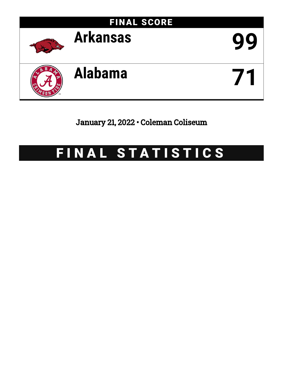

January 21, 2022 • Coleman Coliseum

# FINAL STATISTICS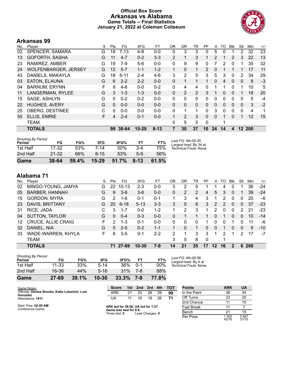### **Official Box Score Arkansas vs Alabama Game Totals -- Final Statistics January 21, 2022 at Coleman Coliseum**



# **Arkansas 99**

| No. | Player                      | S | Pts      | FG       | 3FG       | FT.      | 0 <sub>R</sub> | DR       | TR             | PF             | A            | TO           | <b>Blk</b>   | Stl          | Min  | $+/-$ |
|-----|-----------------------------|---|----------|----------|-----------|----------|----------------|----------|----------------|----------------|--------------|--------------|--------------|--------------|------|-------|
| 02  | SPENCER, SAMARA             | G | 18       | $7 - 13$ | 4-8       | $0 - 0$  | 0              | 3        | 3              | 0              | 5            | 0            |              | 2            | 32   | 23    |
| 13  | <b>GOFORTH, SASHA</b>       | G | 11       | $4 - 7$  | $0 - 2$   | $3 - 3$  | 2              | 1        | 3              |                | 2            |              | 2            | 3            | 22   | 13    |
| 23  | RAMIREZ, AMBER              | G | 19       | 7-9      | $5-6$     | $0 - 0$  | 0              | 9        | 9              | 0              |              | 2            | 0            |              | 35   | 32    |
| 24  | <b>WOLFENBARGER, JERSEY</b> | G | 12       | $5 - 7$  | $1 - 1$   | $1 - 2$  |                | $\Omega$ | 1              | $\overline{2}$ | 0            |              |              |              | 17   | 11    |
| 43  | DANIELS, MAKAYLA            | G | 18       | $6 - 11$ | $2 - 4$   | $4-6$    | 3              | 2        | 5              | 3              | 5            | 3            | $\Omega$     | 2            | 34   | 29    |
| 03  | EATON, ELAUNA               | G | 6        | $2 - 2$  | $2 - 2$   | $0 - 0$  | 0              | 1        | 1              |                | $\mathbf{0}$ | 4            | $\mathbf{0}$ | 0            | 8    | $-3$  |
| 04  | <b>BARNUM, ERYNN</b>        | F | 8        | 4-6      | $0 - 0$   | $0 - 2$  | 0              | 4        | 4              | 0              |              |              | 0            | 1            | 10   | 5     |
| 11  | LANGERMAN, RYLEE            | G | 3        | $1 - 3$  | $1 - 3$   | $0 - 0$  | 0              | 2        | $\overline{2}$ | 3              |              | 0            | $\Omega$     |              | 18   | 20    |
| 15  | SAGE, ASHLYN                | G | 0        | $0 - 2$  | $0 - 2$   | $0 - 0$  | 0              | 0        | $\Omega$       | 0              | 0            | 0            | $\Omega$     | $\Omega$     | 5    | $-4$  |
| 22  | <b>HUGHES, AVERY</b>        | G | $\Omega$ | $0 - 0$  | $0 - 0$   | $0 - 0$  | 0              | $\Omega$ | $\mathbf{0}$   | 0              | 0            | $\mathbf{0}$ | $\Omega$     | $\mathbf{0}$ | 3    | $-2$  |
| 25  | <b>OBERG, DESTINEE</b>      | C | 0        | $0 - 0$  | $0 - 0$   | $0 - 0$  | 0              | 1        | $\mathbf{1}$   | 0              | 3            | 0            | $\Omega$     | $\Omega$     | 4    | 1     |
| 55  | ELLIS, EMRIE                | F | 4        | $2 - 4$  | $0 - 1$   | $0 - 0$  |                | 2        | 3              | $\Omega$       | 0            |              | $\Omega$     | 1            | 12   | 15    |
|     | <b>TEAM</b>                 |   |          |          |           |          | 0              | 5        | 5              | $\Omega$       |              | 1            |              |              |      |       |
|     | <b>TOTALS</b>               |   | 99       | 38-64    | $15 - 29$ | $8 - 13$ |                | 30       | 37             | 10             | 24           | 14           | 4            | 12           | -200 |       |

| Game                                | $38 - 64$ | 59.4% | $15 - 29$ | 51.7% | $8-13$ | 61.5% |                                              |
|-------------------------------------|-----------|-------|-----------|-------|--------|-------|----------------------------------------------|
| 2nd Half                            | $21 - 32$ | 66%   | $8 - 15$  | 53%   | $5-9$  | 56%   |                                              |
| 1st Half                            | 17-32     | 53%   | 7-14      | 50%   | $3-4$  | 75%   | Technical Fouls: None.                       |
| <b>Shooting By Period</b><br>Period | FG        | FG%   | 3FG       | 3FG%  | FT     | FT%   | Last FG: 4th-00:35<br>Largest lead: By 34 at |

| No. | Player                    | S  | Pts           | FG        | 3FG       | FT      | OR       | DR | TR | PF | A        | TO. | <b>BIK</b> | Stl      | Min        | $+/-$ |
|-----|---------------------------|----|---------------|-----------|-----------|---------|----------|----|----|----|----------|-----|------------|----------|------------|-------|
| 02  | MINGO-YOUNG, JAMYA        | G  | 22            | $10 - 13$ | $2 - 3$   | $0-0$   | 3        | 2  | 5  |    |          | 4   | 0          |          | 36         | $-24$ |
| 05  | <b>BARBER, HANNAH</b>     | G  | 9             | $3 - 8$   | $3 - 6$   | $0 - 0$ | 0        | 2  | 2  | 4  | 5        | 3   | 0          |          | 39         | $-24$ |
| 15  | <b>GORDON, MYRA</b>       | G  | 2             | 1-6       | $0 - 1$   | $0 - 1$ |          | 3  | 4  | 3  |          | 2   | 0          | 0        | 20         | -6    |
| 23  | DAVIS, BRITTANY           | G  | 20            | $6 - 18$  | $5 - 13$  | $3 - 3$ | 3        | 5  | 8  | 3  | 2        | 2   | $\Omega$   | 0        | 37         | $-23$ |
| 31  | RICE, JADA                | С  | 3             | $1 - 7$   | $0 - 0$   | $1 - 2$ |          | 2  | 3  |    | 2        | 0   | $\Omega$   | 2        | 21         | $-23$ |
| 04  | <b>SUTTON, TAYLOR</b>     | G  | $\Omega$      | $0 - 4$   | $0 - 3$   | $0 - 0$ | 0        |    |    |    | $\Omega$ |     | $\Omega$   | 0        | 10         | $-14$ |
| 12  | <b>CRUCE, ALLIE CRAIG</b> | F. | $\mathcal{P}$ | $1 - 3$   | $0 - 1$   | $0 - 0$ | $\Omega$ | 0  | 0  |    | 0        | 0   |            | U        | 11         | -6    |
| 32  | DANIEL, NIA               | G  | 5             | $2 - 5$   | $0 - 2$   | $1 - 1$ |          | 0  |    | 0  | 0        |     | 0          | $\Omega$ | 9          | $-10$ |
| 33  | WADE-WARREN, KHYLA        | F  | 8             | $3 - 5$   | $0 - 1$   | $2 - 2$ | 2        | 1  | 3  | 3  | 1        | 2   |            | 2        | 17         | -7    |
|     | <b>TEAM</b>               |    |               |           |           |         | 3        | 5  | 8  | 0  |          | 1   |            |          |            |       |
|     | <b>TOTALS</b>             |    | 71            | 27-69     | $10 - 30$ | 7-9     | 14       | 21 | 35 | 17 | 12       | 16  |            | 6        | <b>200</b> |       |

| <b>Shooting By Period</b><br>Period | FG        | FG%   | 3FG       | 3FG%  | FТ      | FT%   | Last FG: 4th-00:56<br>Largest lead: By 4 at |
|-------------------------------------|-----------|-------|-----------|-------|---------|-------|---------------------------------------------|
| 1st Half                            | $11 - 33$ | 33%   | $5 - 14$  | 36%   | $0 - 1$ | 00%   | Technical Fouls: None.                      |
| 2nd Half                            | 16-36     | 44%   | $5 - 16$  | 31%   | 7-8     | 88%   |                                             |
| Game                                | $27 - 69$ | 39.1% | $10 - 30$ | 33.3% | 7-9     | 77.8% |                                             |

| Game Notes:                                                | <b>Score</b>                            |    | 1st 2nd         | 3rd | 4th | <b>TOT</b> | <b>Points</b> | <b>ARK</b>    | <b>UA</b>      |
|------------------------------------------------------------|-----------------------------------------|----|-----------------|-----|-----|------------|---------------|---------------|----------------|
| Officials: Denise Brooks, Katie Lukanich, Luis<br>Gonzalez | ARK                                     | 21 | 23              | 26  | 29  | 99         | In the Paint  | 38            | 34             |
| Attendance: 1911                                           | UA                                      |    | 16              | 18  | 26  | 71         | Off Turns     | 23            | 20             |
|                                                            |                                         |    |                 |     |     |            | 2nd Chance    |               | 15             |
| Start Time: 02:00 AM<br>Conference Game;                   | ARK led for 38:00. UA led for 1:27.     |    |                 |     |     |            | Fast Break    |               |                |
|                                                            | Game was tied for 0:0.<br>Times tied: 0 |    | Lead Changes: 0 |     |     |            | Bench         |               | 15             |
|                                                            |                                         |    |                 |     |     |            | Per Poss      | .303<br>42/76 | 0.947<br>31/75 |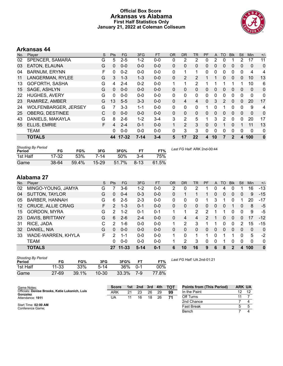#### **Official Box Score Arkansas vs Alabama First Half Statistics Only January 21, 2022 at Coleman Coliseum**



# **Arkansas 44**

| No. | Plaver                      | S | <b>Pts</b>   | <b>FG</b> | 3FG      | <b>FT</b> | <b>OR</b> | <b>DR</b>      | TR             | <b>PF</b> | A  | TO | <b>Blk</b>     | Stl          | Min          | $+/-$    |
|-----|-----------------------------|---|--------------|-----------|----------|-----------|-----------|----------------|----------------|-----------|----|----|----------------|--------------|--------------|----------|
| 02  | SPENCER, SAMARA             | G | 5            | $2 - 5$   | $1-2$    | $0 - 0$   | 0         | 2              | 2              | 0         | 2  | 0  |                | 2            | 17           | 11       |
| 03  | EATON, ELAUNA               | G | $\mathbf{0}$ | $0 - 0$   | $0 - 0$  | $0 - 0$   | 0         | $\Omega$       | 0              | 0         | 0  | 0  | $\Omega$       | 0            | $\mathbf{0}$ | 0        |
| 04  | <b>BARNUM, ERYNN</b>        | F | 0            | $0 - 2$   | $0 - 0$  | $0 - 0$   | 0         | 1              | 1              | 0         | 0  | 0  | $\mathbf 0$    | 0            | 4            | 4        |
| 11  | LANGERMAN, RYLEE            | G | 3            | $1 - 3$   | $1 - 3$  | $0 - 0$   | 0         | 2              | 2              |           |    | 0  | $\mathbf{0}$   | 0            | 10           | 13       |
| 13  | GOFORTH, SASHA              | G | 4            | $2 - 4$   | $0 - 2$  | $0 - 0$   |           | 1              | $\overline{2}$ |           |    |    |                | 1            | 10           | 6        |
| 15  | SAGE, ASHLYN                | G | $\Omega$     | $0 - 0$   | $0 - 0$  | $0 - 0$   | 0         | 0              | $\Omega$       | 0         | 0  | 0  | $\mathbf{0}$   | 0            | 0            | 0        |
| 22  | <b>HUGHES, AVERY</b>        | G | $\Omega$     | $0 - 0$   | $0 - 0$  | $0 - 0$   | 0         | 0              | 0              | 0         | 0  | 0  | 0              | 0            | 0            | 0        |
| 23  | RAMIREZ, AMBER              | G | 13           | $5 - 5$   | $3 - 3$  | $0 - 0$   | 0         | 4              | 4              | 0         | 3  | 2  | $\Omega$       | 0            | 20           | 17       |
| 24  | <b>WOLFENBARGER, JERSEY</b> | G |              | $3-3$     | $1 - 1$  | $0 - 0$   | 0         | 0              | 0              | 1         | 0  |    | 0              | 0            | 9            | 4        |
| 25  | <b>OBERG, DESTINEE</b>      | С | $\Omega$     | $0 - 0$   | $0 - 0$  | $0 - 0$   | 0         | $\Omega$       | $\mathbf{0}$   | 0         | 0  | 0  | $\mathbf{0}$   | $\mathbf{0}$ | $\Omega$     | 0        |
| 43  | DANIELS, MAKAYLA            | G | 8            | $2-6$     | $1 - 2$  | $3-4$     | 3         | 2              | 5              | 1         | 3  | 2  | $\Omega$       | 0            | 20           | 17       |
| 55  | ELLIS, EMRIE                | F | 4            | $2 - 4$   | $0 - 1$  | $0 - 0$   |           | $\overline{2}$ | 3              | 0         | 0  |    | $\Omega$       |              | 11           | 13       |
|     | TEAM                        |   | 0            | $0 - 0$   | $0 - 0$  | $0 - 0$   | 0         | 3              | 3              | 0         | 0  | 0  | 0              | $\Omega$     | 0            | 0        |
|     | <b>TOTALS</b>               |   | 44           | $17 - 32$ | $7 - 14$ | $3 - 4$   | 5         | 17             | 22             | 4         | 10 | 7  | $\overline{2}$ | 4            | 100          | $\bf{0}$ |

| <b>Shooting By Period</b> |           |       |           |       |          |       |
|---------------------------|-----------|-------|-----------|-------|----------|-------|
| Period                    | FG        | FG%   | 3FG       | 3FG%  |          | FT%   |
| 1st Half                  | 17-32     | 53%   | 7-14      | .50%  | 3-4      | 75%   |
| Game                      | $38 - 64$ | 59.4% | $15 - 29$ | 51.7% | $8 - 13$ | 61.5% |

*Last FG Half:* ARK 2nd-00:44

# **Alabama 27**

| No. | Player                    | S. | <b>Pts</b>    | <b>FG</b> | 3FG      | <b>FT</b> | <b>OR</b> | <b>DR</b> | TR       | PF       | A        | TO.      | <b>B</b> lk | Stl      | <b>Min</b> | $+/-$        |
|-----|---------------------------|----|---------------|-----------|----------|-----------|-----------|-----------|----------|----------|----------|----------|-------------|----------|------------|--------------|
| 02  | MINGO-YOUNG, JAMYA        | G  |               | 3-6       | $1 - 2$  | $0-0$     | 2         |           |          |          | 0        | 4        |             |          | 16         | $-13$        |
| 04  | <b>SUTTON, TAYLOR</b>     | G  | 0             | $0 - 4$   | $0 - 3$  | $0 - 0$   | 0         |           |          |          | 0        | 0        | 0           | 0        | 9          | $-15$        |
| 05  | <b>BARBER, HANNAH</b>     | G  | 6.            | $2 - 5$   | $2 - 3$  | $0 - 0$   | 0         | 0         | 0        |          | 3        |          | 0           |          | 20         | -17          |
| 12  | <b>CRUCE, ALLIE CRAIG</b> | F. | $\mathcal{P}$ | $1 - 3$   | $0 - 1$  | $0 - 0$   | 0         | 0         | $\Omega$ | $\Omega$ | 0        | $\Omega$ |             | 0        | 8          | -5           |
| 15  | <b>GORDON, MYRA</b>       | G  | 2             | $1 - 2$   | $0 - 1$  | $0 - 1$   |           |           | 2        | 2        |          |          | 0           | 0        | 9          | -5           |
| 23  | DAVIS, BRITTANY           | G  | 6.            | $2 - 6$   | $2 - 4$  | $0 - 0$   | 0         | 4         | 4        |          |          | 0        | $\Omega$    | 0        | 17         | $-12$        |
| 31  | RICE, JADA                | С  | $\mathcal{P}$ | 1-6       | $0 - 0$  | $0 - 0$   |           | 2         | 3        |          |          | 0        | 0           | 2        | 15         | $-15$        |
| 32  | DANIEL, NIA               | G  | 0             | $0 - 0$   | $0 - 0$  | $0 - 0$   | 0         | $\Omega$  | $\Omega$ | $\Omega$ | 0        | 0        | $\Omega$    | $\Omega$ | 0          | $\mathbf{0}$ |
| 33  | WADE-WARREN, KHYLA        | F. | 2             | 1-1       | $0 - 0$  | $0 - 0$   |           | 0         | 1        | 1        | $\Omega$ |          | 1           | $\Omega$ | 5          | $-2$         |
|     | <b>TEAM</b>               |    | 0             | $0 - 0$   | $0 - 0$  | $0 - 0$   |           | 2         | 3        | $\Omega$ | 0        |          | 0           | 0        | 0          | $\mathbf 0$  |
|     | <b>TOTALS</b>             |    | 27            | 11-33     | $5 - 14$ | $0 - 1$   | 6         | 10        | 16       | 9        | 6        | 8        | 2           | 4        | 100        | $\mathbf{0}$ |

| <b>Shooting By Period</b><br>Period | FG        | FG%   | 3FG    | 3FG%  | FТ  | FT%    |
|-------------------------------------|-----------|-------|--------|-------|-----|--------|
| 1st Half                            | 11-33     | 33%   | $5-14$ | 36%   | በ-1 | $00\%$ |
| Game                                | $27 - 69$ | 39.1% | 10-30  | 33.3% | 7-9 | 77.8%  |

*Last FG Half:* UA 2nd-01:21

| Game Notes:                                                | <b>Score</b> | 1st | 2nd | 3rd | 4th | <b>TOT</b> | <b>Points from (This Period)</b> | <b>ARK UA</b> |  |
|------------------------------------------------------------|--------------|-----|-----|-----|-----|------------|----------------------------------|---------------|--|
| Officials: Denise Brooks, Katie Lukanich, Luis<br>Gonzalez | ARK          | 21  | 23  | 26  | 29  | 99         | In the Paint                     | 12            |  |
| Attendance: 1911                                           | UA           | 11  | 16  | 18  | 26  | 71         | Off Turns                        |               |  |
|                                                            |              |     |     |     |     |            | 2nd Chance                       |               |  |
| Start Time: 02:00 AM<br>Conference Game:                   |              |     |     |     |     |            | <b>Fast Break</b>                |               |  |
|                                                            |              |     |     |     |     |            | Bench                            |               |  |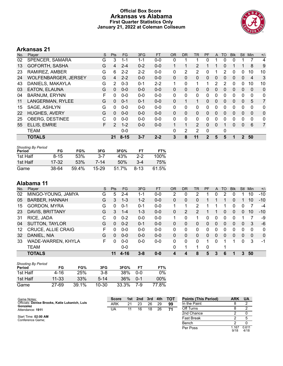### **Official Box Score Arkansas vs Alabama First Quarter Statistics Only January 21, 2022 at Coleman Coliseum**



# **Arkansas 21**

| No. | Player                      | S | <b>Pts</b> | FG.      | 3FG     | <b>FT</b> | <b>OR</b>    | D <sub>R</sub> | TR           | PF | A            | TO           | <b>BIK</b> | Stl          | Min            | $+/-$          |
|-----|-----------------------------|---|------------|----------|---------|-----------|--------------|----------------|--------------|----|--------------|--------------|------------|--------------|----------------|----------------|
| 02  | SPENCER, SAMARA             | G | 3          | 1-1      | 1-1     | $0 - 0$   | 0            |                |              | 0  |              | 0            | 0          |              |                | 4              |
| 13  | <b>GOFORTH, SASHA</b>       | G | 4          | $2 - 4$  | $0 - 2$ | $0 - 0$   |              |                | 2            |    |              | 0            |            |              | 8              | 9              |
| 23  | RAMIREZ, AMBER              | G | 6          | $2 - 2$  | $2 - 2$ | $0 - 0$   | 0            | 2              | 2            | 0  |              | 2            | 0          | 0            | 10             | 10             |
| 24  | <b>WOLFENBARGER, JERSEY</b> | G | 4          | $2 - 2$  | $0 - 0$ | $0 - 0$   | $\mathbf{0}$ | 0              | 0            | 0  | $\mathbf{0}$ | 0            | 0          | $\Omega$     | $\overline{4}$ | 3              |
| 43  | DANIELS, MAKAYLA            | G | 2          | $0 - 3$  | $0 - 1$ | $2 - 2$   | 1            | 0              | 1            | 1  | 2            | 2            | 0          | 0            | 10             | 10             |
| 03  | EATON, ELAUNA               | G | 0          | $0 - 0$  | $0 - 0$ | $0 - 0$   | $\mathbf{0}$ | 0              | 0            | 0  | $\mathbf{0}$ | 0            | 0          | $\mathbf{0}$ | $\mathbf{0}$   | $\mathbf 0$    |
| 04  | <b>BARNUM, ERYNN</b>        | F | 0          | $0 - 0$  | $0 - 0$ | $0 - 0$   | 0            | $\Omega$       | 0            | 0  | 0            | 0            | 0          | $\Omega$     | $\Omega$       | $\mathbf{0}$   |
| 11  | LANGERMAN, RYLEE            | G | $\Omega$   | $0 - 1$  | $0 - 1$ | $0 - 0$   | $\Omega$     |                | $\mathbf{1}$ | 0  | $\mathbf{0}$ | $\mathbf{0}$ | 0          | $\Omega$     | 5              | 7              |
| 15  | SAGE, ASHLYN                | G | 0          | $0 - 0$  | $0 - 0$ | $0-0$     | 0            | 0              | 0            | 0  | 0            | 0            | 0          | $\Omega$     | $\Omega$       | 0              |
| 22  | <b>HUGHES, AVERY</b>        | G | 0          | $0 - 0$  | $0 - 0$ | $0 - 0$   | $\mathbf{0}$ | 0              | 0            | 0  | $\mathbf{0}$ | $\Omega$     | 0          | $\mathbf{0}$ | 0              | 0              |
| 25  | <b>OBERG, DESTINEE</b>      | C | 0          | $0 - 0$  | $0 - 0$ | $0 - 0$   | 0            | 0              | 0            | 0  | 0            | 0            | 0          | $\Omega$     | 0              | 0              |
| 55  | ELLIS, EMRIE                | F | 2          | $1 - 2$  | $0 - 0$ | $0 - 0$   |              |                | 2            | 0  | $\Omega$     |              | 0          | $\Omega$     | 6              | $\overline{7}$ |
|     | TEAM                        |   |            | $0 - 0$  |         |           | 0            | 2              | 2            | 0  |              | 0            |            |              |                |                |
|     | <b>TOTALS</b>               |   | 21         | $8 - 15$ | $3 - 7$ | $2 - 2$   | 3            | 8              | 11           | 2  | 5            | 5            | 1          | $\mathbf{2}$ | 50             |                |

| <b>Shooting By Period</b><br>Period | FG       | FG%   | 3FG       | 3FG%  | FТ     | FT%   |
|-------------------------------------|----------|-------|-----------|-------|--------|-------|
| 1st Half                            | $8 - 15$ | 53%   | 3-7       | 43%   | $2-2$  | 100%  |
| 1st Half                            | 17-32    | 53%   | 7-14      | 50%   | $3-4$  | 75%   |
| Game                                | $38-64$  | 59.4% | $15 - 29$ | 51.7% | $8-13$ | 61.5% |

| No. | Plaver                    | S  | <b>Pts</b> | FG.     | 3FG     | <b>FT</b> | OR       | DR | TR       | <b>PF</b> | A              | TO       | <b>Blk</b> | Stl      | Min      | $+/-$        |
|-----|---------------------------|----|------------|---------|---------|-----------|----------|----|----------|-----------|----------------|----------|------------|----------|----------|--------------|
| 02  | MINGO-YOUNG, JAMYA        | G  | 5          | $2 - 4$ | 1-1     | $0-0$     | っ        | 0  | າ        |           | 0              | 2        | 0          |          | 10       | $-10$        |
| 05  | <b>BARBER, HANNAH</b>     | G  | 3          | $1 - 3$ | $1 - 2$ | $0 - 0$   | 0        | 0  | 0        |           |                |          | 0          |          | 10       | $-10$        |
| 15  | <b>GORDON, MYRA</b>       | G  | 0          | $0 - 1$ | $0 - 1$ | $0-0$     |          |    | 2        |           |                |          | 0          | 0        |          | -4           |
| 23  | DAVIS, BRITTANY           | G  | 3          | $1 - 4$ | $1 - 3$ | $0 - 0$   | 0        | 2  | 2        |           |                | 0        | 0          | 0        | 10       | $-10$        |
| 31  | RICE, JADA                | C  | $\Omega$   | $0 - 2$ | $0 - 0$ | $0 - 0$   |          | 0  | 1        | O         | 0              |          | 0          |          |          | -9           |
| 04  | <b>SUTTON, TAYLOR</b>     | G  | $\Omega$   | $0 - 2$ | $0 - 1$ | $0 - 0$   | 0        | 0  | 0        | 0         | $\overline{0}$ | $\Omega$ | 0          | 0        | 3        | -6           |
| 12  | <b>CRUCE, ALLIE CRAIG</b> | F. | 0          | $0 - 0$ | $0 - 0$ | $0-0$     | 0        | 0  | 0        | 0         | 0              | 0        | 0          | 0        | $\Omega$ | $\mathbf{0}$ |
| 32  | DANIEL, NIA               | G  | 0          | $0 - 0$ | $0 - 0$ | $0 - 0$   | $\Omega$ | 0  | 0        | 0         | $\Omega$       | $\Omega$ | 0          | $\Omega$ | $\Omega$ | $\mathbf{0}$ |
| 33  | WADE-WARREN, KHYLA        | F. | $\Omega$   | $0 - 0$ | $0 - 0$ | $0 - 0$   | $\Omega$ | 0  | $\Omega$ |           | 0              |          |            | $\Omega$ | 3        | $-1$         |
|     | <b>TEAM</b>               |    |            | $0-0$   |         |           | 0        | 1  | 1        | 0         |                |          |            |          |          |              |
|     | <b>TOTALS</b>             |    | 11         | 4-16    | $3 - 8$ | $0 - 0$   |          | 4  | 8        | 5         | 3              | 6        | 1          | 3        | 50       |              |

| <b>Shooting By Period</b><br>Period | FG        | FG%   | 3FG      | 3FG%  | FТ      | FT%   |
|-------------------------------------|-----------|-------|----------|-------|---------|-------|
| 1st Half                            | 4-16      | 25%   | $3 - 8$  | 38%   | 0-0     | 0%    |
| 1st Half                            | $11 - 33$ | 33%   | $5 - 14$ | 36%   | $0 - 1$ | 00%   |
| Game                                | 27-69     | 39.1% | 10-30    | 33.3% | 7_Q     | 77.8% |

| Game Notes:                                                | <b>Score</b> |    | 1st 2nd | 3rd |    | 4th TOT | <b>Points (This Period)</b> | <b>ARK</b>    | <b>UA</b>     |
|------------------------------------------------------------|--------------|----|---------|-----|----|---------|-----------------------------|---------------|---------------|
| Officials: Denise Brooks, Katie Lukanich, Luis<br>Gonzalez | ARK          | 21 | 23      | 26  | 29 | 99      | In the Paint                |               |               |
| Attendance: 1911                                           | UA           |    | 16      | 18  | 26 | 71      | Off Turns                   |               |               |
|                                                            |              |    |         |     |    |         | 2nd Chance                  |               |               |
| Start Time: 02:00 AM<br>Conference Game:                   |              |    |         |     |    |         | <b>Fast Break</b>           |               |               |
|                                                            |              |    |         |     |    |         | Bench                       |               |               |
|                                                            |              |    |         |     |    |         | Per Poss                    | l.167<br>9/18 | 0.611<br>4/18 |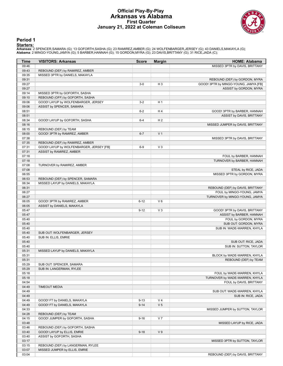#### **Official Play-By-Play Arkansas vs Alabama First Quarter January 21, 2022 at Coleman Coliseum**



#### **Period 1**

<mark>Starters:</mark><br>Arkansas: 2 SPENCER,SAMARA (G); 13 GOFORTH,SASHA (G); 23 RAMIREZ,AMBER (G); 24 WOLFENBARGER,JERSEY (G); 43 DANIELS,MAKAYLA (G);<br>**Alabama**: 2 MINGO-YOUNG,JAMYA (G); 5 BARBER,HANNAH (G); 15 GORDON,MYRA (G); 23 DA

| Time           | <b>VISITORS: Arkansas</b>                | <b>Score</b> | <b>Margin</b>  | <b>HOME: Alabama</b>                  |
|----------------|------------------------------------------|--------------|----------------|---------------------------------------|
| 09:46          |                                          |              |                | MISSED 3PTR by DAVIS, BRITTANY        |
| 09:43          | REBOUND (DEF) by RAMIREZ, AMBER          |              |                |                                       |
| 09:35          | MISSED 3PTR by DANIELS, MAKAYLA          |              |                |                                       |
| 09:31          |                                          |              |                | REBOUND (DEF) by GORDON, MYRA         |
| 09:27          |                                          | $3-0$        | $H_3$          | GOOD! 3PTR by MINGO-YOUNG, JAMYA [FB] |
| 09:27          |                                          |              |                | ASSIST by GORDON, MYRA                |
| 09:14          | MISSED 3PTR by GOFORTH, SASHA            |              |                |                                       |
| 09:10          | REBOUND (OFF) by GOFORTH, SASHA          |              |                |                                       |
| 09:06          | GOOD! LAYUP by WOLFENBARGER, JERSEY      | $3 - 2$      | H <sub>1</sub> |                                       |
| 09:06          | ASSIST by SPENCER, SAMARA                |              |                |                                       |
| 08:51          |                                          | $6 - 2$      | H4             | GOOD! 3PTR by BARBER, HANNAH          |
| 08:51          |                                          |              |                | ASSIST by DAVIS, BRITTANY             |
| 08:34          | GOOD! LAYUP by GOFORTH, SASHA            | $6 - 4$      | H <sub>2</sub> |                                       |
| 08:16<br>08:15 | REBOUND (DEF) by TEAM                    |              |                | MISSED JUMPER by DAVIS, BRITTANY      |
| 08:00          | GOOD! 3PTR by RAMIREZ, AMBER             | $6 - 7$      | V <sub>1</sub> |                                       |
| 07:38          |                                          |              |                | MISSED 3PTR by DAVIS, BRITTANY        |
| 07:35          | REBOUND (DEF) by RAMIREZ, AMBER          |              |                |                                       |
| 07:31          | GOOD! LAYUP by WOLFENBARGER, JERSEY [FB] | $6-9$        | $V_3$          |                                       |
| 07:31          | ASSIST by RAMIREZ, AMBER                 |              |                |                                       |
| 07:18          |                                          |              |                | FOUL by BARBER, HANNAH                |
| 07:18          |                                          |              |                | TURNOVER by BARBER, HANNAH            |
| 07:08          | TURNOVER by RAMIREZ, AMBER               |              |                |                                       |
| 07:08          |                                          |              |                | STEAL by RICE, JADA                   |
| 06:55          |                                          |              |                | MISSED 3PTR by GORDON, MYRA           |
| 06:53          | REBOUND (DEF) by SPENCER, SAMARA         |              |                |                                       |
| 06:34          | MISSED LAYUP by DANIELS, MAKAYLA         |              |                |                                       |
| 06:31          |                                          |              |                | REBOUND (DEF) by DAVIS, BRITTANY      |
| 06:27          |                                          |              |                | FOUL by MINGO-YOUNG, JAMYA            |
| 06:27          |                                          |              |                | TURNOVER by MINGO-YOUNG, JAMYA        |
| 06:05          | GOOD! 3PTR by RAMIREZ, AMBER             | $6 - 12$     | $V_6$          |                                       |
| 06:05          | ASSIST by DANIELS, MAKAYLA               |              |                |                                       |
| 05:47          |                                          | $9 - 12$     | $V_3$          | GOOD! 3PTR by DAVIS, BRITTANY         |
| 05:47          |                                          |              |                | ASSIST by BARBER, HANNAH              |
| 05:40          |                                          |              |                | FOUL by GORDON, MYRA                  |
| 05:40          |                                          |              |                | SUB OUT: GORDON, MYRA                 |
| 05:40          |                                          |              |                | SUB IN: WADE-WARREN, KHYLA            |
| 05:40          | SUB OUT: WOLFENBARGER, JERSEY            |              |                |                                       |
| 05:40<br>05:40 | SUB IN: ELLIS, EMRIE                     |              |                | SUB OUT: RICE, JADA                   |
| 05:40          |                                          |              |                | SUB IN: SUTTON, TAYLOR                |
| 05:31          | MISSED LAYUP by DANIELS, MAKAYLA         |              |                |                                       |
| 05:31          |                                          |              |                | BLOCK by WADE-WARREN, KHYLA           |
| 05:31          |                                          |              |                | REBOUND (DEF) by TEAM                 |
| 05:29          | SUB OUT: SPENCER, SAMARA                 |              |                |                                       |
| 05:29          | SUB IN: LANGERMAN, RYLEE                 |              |                |                                       |
| 05:18          |                                          |              |                | FOUL by WADE-WARREN, KHYLA            |
| 05:18          |                                          |              |                | TURNOVER by WADE-WARREN, KHYLA        |
| 04:54          |                                          |              |                | FOUL by DAVIS, BRITTANY               |
| 04:49          | <b>TIMEOUT MEDIA</b>                     |              |                |                                       |
| 04:49          |                                          |              |                | SUB OUT: WADE-WARREN, KHYLA           |
| 04:49          |                                          |              |                | SUB IN: RICE, JADA                    |
| 04:49          | GOOD! FT by DANIELS, MAKAYLA             | $9 - 13$     | V <sub>4</sub> |                                       |
| 04:49          | GOOD! FT by DANIELS, MAKAYLA             | $9 - 14$     | V <sub>5</sub> |                                       |
| 04:33          |                                          |              |                | MISSED JUMPER by SUTTON, TAYLOR       |
| 04:28          | REBOUND (DEF) by TEAM                    |              |                |                                       |
| 04:15          | GOOD! JUMPER by GOFORTH, SASHA           | $9 - 16$     | V <sub>7</sub> |                                       |
| 03:48          |                                          |              |                | MISSED LAYUP by RICE, JADA            |
| 03:46          | REBOUND (DEF) by GOFORTH, SASHA          |              |                |                                       |
| 03:40          | GOOD! LAYUP by ELLIS, EMRIE              | $9 - 18$     | V <sub>9</sub> |                                       |
| 03:40          | ASSIST by GOFORTH, SASHA                 |              |                |                                       |
| 03:17          |                                          |              |                | MISSED 3PTR by SUTTON, TAYLOR         |
| 03:15          | REBOUND (DEF) by LANGERMAN, RYLEE        |              |                |                                       |
| 03:07          | MISSED JUMPER by ELLIS, EMRIE            |              |                |                                       |
| 03:04          |                                          |              |                | REBOUND (DEF) by DAVIS, BRITTANY      |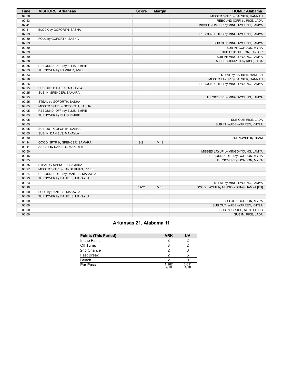| <b>Time</b> | <b>VISITORS: Arkansas</b>         | <b>Score</b> | <b>Margin</b>   | <b>HOME: Alabama</b>                   |
|-------------|-----------------------------------|--------------|-----------------|----------------------------------------|
| 02:56       |                                   |              |                 | MISSED 3PTR by BARBER, HANNAH          |
| 02:53       |                                   |              |                 | REBOUND (OFF) by RICE, JADA            |
| 02:41       |                                   |              |                 | MISSED JUMPER by MINGO-YOUNG, JAMYA    |
| 02:41       | BLOCK by GOFORTH, SASHA           |              |                 |                                        |
| 02:39       |                                   |              |                 | REBOUND (OFF) by MINGO-YOUNG, JAMYA    |
| 02:39       | FOUL by GOFORTH, SASHA            |              |                 |                                        |
| 02:39       |                                   |              |                 | SUB OUT: MINGO-YOUNG, JAMYA            |
| 02:39       |                                   |              |                 | SUB IN: GORDON, MYRA                   |
| 02:39       |                                   |              |                 | SUB OUT: SUTTON, TAYLOR                |
| 02:39       |                                   |              |                 | SUB IN: MINGO-YOUNG, JAMYA             |
| 02:38       |                                   |              |                 | MISSED JUMPER by RICE, JADA            |
| 02:35       | REBOUND (DEF) by ELLIS, EMRIE     |              |                 |                                        |
| 02:33       | TURNOVER by RAMIREZ, AMBER        |              |                 |                                        |
| 02:33       |                                   |              |                 | STEAL by BARBER, HANNAH                |
| 02:28       |                                   |              |                 | MISSED LAYUP by BARBER, HANNAH         |
| 02:26       |                                   |              |                 | REBOUND (OFF) by MINGO-YOUNG, JAMYA    |
| 02:25       | SUB OUT: DANIELS, MAKAYLA         |              |                 |                                        |
| 02:25       | SUB IN: SPENCER, SAMARA           |              |                 |                                        |
| 02:25       |                                   |              |                 | TURNOVER by MINGO-YOUNG, JAMYA         |
| 02:25       | STEAL by GOFORTH, SASHA           |              |                 |                                        |
| 02:05       | MISSED 3PTR by GOFORTH, SASHA     |              |                 |                                        |
| 02:05       | REBOUND (OFF) by ELLIS, EMRIE     |              |                 |                                        |
| 02:05       | TURNOVER by ELLIS, EMRIE          |              |                 |                                        |
| 02:05       |                                   |              |                 | SUB OUT: RICE, JADA                    |
| 02:05       |                                   |              |                 | SUB IN: WADE-WARREN, KHYLA             |
| 02:05       | SUB OUT: GOFORTH, SASHA           |              |                 |                                        |
| 02:05       | SUB IN: DANIELS, MAKAYLA          |              |                 |                                        |
| 01:30       |                                   |              |                 | TURNOVER by TEAM                       |
| 01:14       | GOOD! 3PTR by SPENCER, SAMARA     | $9 - 21$     | V <sub>12</sub> |                                        |
| 01:14       | ASSIST by DANIELS, MAKAYLA        |              |                 |                                        |
| 00:50       |                                   |              |                 | MISSED LAYUP by MINGO-YOUNG, JAMYA     |
| 00:46       |                                   |              |                 | REBOUND (OFF) by GORDON, MYRA          |
| 00:35       |                                   |              |                 | TURNOVER by GORDON, MYRA               |
| 00:35       | STEAL by SPENCER, SAMARA          |              |                 |                                        |
| 00:27       | MISSED 3PTR by LANGERMAN, RYLEE   |              |                 |                                        |
| 00:24       | REBOUND (OFF) by DANIELS, MAKAYLA |              |                 |                                        |
| 00:23       | TURNOVER by DANIELS, MAKAYLA      |              |                 |                                        |
| 00:23       |                                   |              |                 | STEAL by MINGO-YOUNG, JAMYA            |
| 00:19       |                                   | $11 - 21$    | $V$ 10          |                                        |
| 00:00       |                                   |              |                 | GOOD! LAYUP by MINGO-YOUNG, JAMYA [FB] |
|             | FOUL by DANIELS, MAKAYLA          |              |                 |                                        |
| 00:00       | TURNOVER by DANIELS, MAKAYLA      |              |                 |                                        |
| 00:00       |                                   |              |                 | SUB OUT: GORDON, MYRA                  |
| 00:00       |                                   |              |                 | SUB OUT: WADE-WARREN, KHYLA            |
| 00:00       |                                   |              |                 | SUB IN: CRUCE, ALLIE CRAIG             |
| 00:00       |                                   |              |                 | SUB IN: RICE, JADA                     |

# **Arkansas 21, Alabama 11**

| <b>Points (This Period)</b> | <b>ARK</b>    | UA            |
|-----------------------------|---------------|---------------|
| In the Paint                |               |               |
| Off Turns                   |               |               |
| 2nd Chance                  |               |               |
| Fast Break                  |               |               |
| Bench                       |               |               |
| Per Poss                    | 1.167<br>9/18 | 0.611<br>4/18 |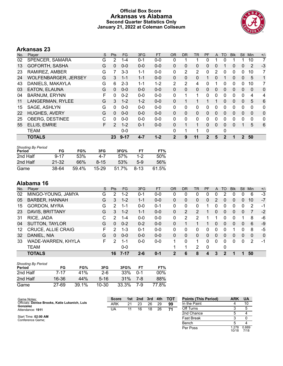### **Official Box Score Arkansas vs Alabama Second Quarter Statistics Only January 21, 2022 at Coleman Coliseum**



# **Arkansas 23**

| No. | Player                      | S | <b>Pts</b> | FG.      | 3FG     | <b>FT</b> | <b>OR</b>    | DR.          | TR | PF          | A            | TO | <b>BIK</b> | <b>Stl</b>   | Min      | $+/-$        |
|-----|-----------------------------|---|------------|----------|---------|-----------|--------------|--------------|----|-------------|--------------|----|------------|--------------|----------|--------------|
| 02  | SPENCER, SAMARA             | G | 2          | $1 - 4$  | $0 - 1$ | $0 - 0$   | 0            |              |    | 0           |              | 0  |            |              | 10       | 7            |
| 13  | GOFORTH, SASHA              | G | 0          | $0 - 0$  | $0 - 0$ | $0 - 0$   | 0            | 0            | 0  | 0           | 0            |    | 0          | 0            | 2        | $-3$         |
| 23  | RAMIREZ, AMBER              | G |            | $3 - 3$  | $1 - 1$ | $0 - 0$   | 0            | 2            | 2  | 0           | 2            | 0  | 0          | 0            | 10       | 7            |
| 24  | <b>WOLFENBARGER, JERSEY</b> | G | 3          | $1 - 1$  | $1 - 1$ | $0 - 0$   | $\Omega$     | $\mathbf{0}$ | 0  |             | 0            |    | 0          | $\mathbf{0}$ | 5        | 1            |
| 43  | DANIELS, MAKAYLA            | G | 6          | $2 - 3$  | $1 - 1$ | $1 - 2$   | 2            | 2            | 4  | 0           |              | 0  | 0          | 0            | 10       | 7            |
| 03  | EATON, ELAUNA               | G | 0          | $0 - 0$  | $0 - 0$ | $0 - 0$   | $\Omega$     | $\mathbf{0}$ | 0  | 0           | $\mathbf{0}$ | 0  | 0          | 0            | $\Omega$ | $\mathbf 0$  |
| 04  | <b>BARNUM, ERYNN</b>        | F | 0          | $0 - 2$  | $0 - 0$ | $0 - 0$   | 0            |              | 1  | 0           | 0            | 0  | 0          | 0            | 4        | 4            |
| 11  | LANGERMAN, RYLEE            | G | 3          | $1 - 2$  | $1 - 2$ | $0 - 0$   | 0            |              |    |             |              | 0  | 0          | 0            | 5        | 6            |
| 15  | SAGE, ASHLYN                | G | 0          | $0 - 0$  | $0 - 0$ | $0-0$     | 0            | 0            | 0  | 0           | 0            | 0  | 0          | 0            | $\Omega$ | $\mathbf{0}$ |
| 22  | <b>HUGHES, AVERY</b>        | G | 0          | $0 - 0$  | $0 - 0$ | $0 - 0$   | $\Omega$     | $\mathbf{0}$ | 0  | 0           | $\mathbf{0}$ | 0  | 0          | 0            | $\Omega$ | $\mathbf{0}$ |
| 25  | <b>OBERG, DESTINEE</b>      | C | 0          | $0 - 0$  | $0 - 0$ | $0 - 0$   | 0            | $\Omega$     | 0  | 0           | 0            | 0  | 0          | 0            | 0        | $\mathbf{0}$ |
| 55  | ELLIS, EMRIE                | F | 2          | $1 - 2$  | $0 - 1$ | $0 - 0$   | 0            |              |    | 0           | $\Omega$     | 0  | 0          |              | 5        | 6            |
|     | <b>TEAM</b>                 |   |            | $0 - 0$  |         |           | 0            |              |    | 0           |              | 0  |            |              |          |              |
|     | <b>TOTALS</b>               |   | 23         | $9 - 17$ | $4 - 7$ | $1 - 2$   | $\mathbf{2}$ | 9            | 11 | $\mathbf 2$ | 5            | 2  |            | $\mathbf 2$  | 50       |              |

| <b>Shooting By Period</b><br>Period | FG        | FG%   | 3FG      | 3FG%  | FТ     | FT%   |
|-------------------------------------|-----------|-------|----------|-------|--------|-------|
| 2nd Half                            | $9 - 17$  | 53%   | 4-7      | 57%   | $1-2$  | 50%   |
| 2nd Half                            | $21 - 32$ | 66%   | $8 - 15$ | 53%   | $5-9$  | 56%   |
| Game                                | 38-64     | 59.4% | 15-29    | 51.7% | $8-13$ | 61.5% |

| No. | Plaver                    | S  | <b>Pts</b> | FG.     | 3FG     | <b>FT</b> | <b>OR</b> | DR       | TR             | <b>PF</b> | A | TO       | <b>Blk</b> | Stl | Min      | $+/-$    |
|-----|---------------------------|----|------------|---------|---------|-----------|-----------|----------|----------------|-----------|---|----------|------------|-----|----------|----------|
| 02  | MINGO-YOUNG, JAMYA        | G  | 2          | $1 - 2$ | $0 - 1$ | $0-0$     | 0         | 0        | 0              | 0         | 0 | າ        |            | 0   | 6        | $-3$     |
| 05  | <b>BARBER, HANNAH</b>     | G  | 3          | $1 - 2$ | $1 - 1$ | $0 - 0$   | 0         | $\Omega$ | 0              | $\Omega$  | 2 | 0        | 0          | 0   | 10       | $-7$     |
| 15  | <b>GORDON, MYRA</b>       | G  | 2          | 1-1     | $0 - 0$ | $0 - 1$   | 0         | $\Omega$ | 0              | 4         | O | 0        | 0          | 0   | 2        | -1       |
| 23  | DAVIS, BRITTANY           | G  | 3          | $1 - 2$ | $1 - 1$ | $0 - 0$   | 0         | 2        | $\overline{2}$ |           | 0 | 0        | 0          | 0   |          | $-2$     |
| 31  | RICE, JADA                | C  | 2          | $1 - 4$ | $0 - 0$ | $0-0$     | 0         | 2        | 2              |           |   | O        |            |     | 8        | -6       |
| 04  | <b>SUTTON, TAYLOR</b>     | G  | 0          | $0 - 2$ | $0 - 2$ | $0 - 0$   | 0         |          |                |           | 0 | 0        | 0          | 0   | 6        | -9       |
| 12  | <b>CRUCE, ALLIE CRAIG</b> | F  | 2          | $1 - 3$ | $0 - 1$ | $0-0$     | 0         | 0        | 0              | 0         | 0 | 0        |            | 0   | 8        | -5       |
| 32  | DANIEL, NIA               | G  | 0          | $0 - 0$ | $0 - 0$ | $0 - 0$   | 0         | 0        | 0              | 0         | 0 | $\Omega$ | $\Omega$   | 0   | $\Omega$ | $\Omega$ |
| 33  | WADE-WARREN, KHYLA        | F. | 2          | 1-1     | $0 - 0$ | $0 - 0$   |           | $\Omega$ | 1              | 0         | 0 | 0        | 0          | 0   | 2        | $-1$     |
|     | <b>TEAM</b>               |    |            | $0-0$   |         |           |           | 1        | 2              | $\Omega$  |   | 0        |            |     |          |          |
|     | <b>TOTALS</b>             |    | 16         | 7-17    | $2 - 6$ | $0 - 1$   | 2         | 6        | 8              | 4         | 3 | 2        |            |     | 50       |          |

| <b>Shooting By Period</b><br>Period | FG    | FG%   | 3FG       | 3FG%  | FT      | FT%    |
|-------------------------------------|-------|-------|-----------|-------|---------|--------|
| 2nd Half                            | 7-17  | 41%   | $2-6$     | 33%   | $0 - 1$ | $00\%$ |
| 2nd Half                            | 16-36 | 44%   | $5 - 16$  | 31%   | 7-8     | 88%    |
| Game                                | 27-69 | 39.1% | $10 - 30$ | 33.3% | 7-9     | 77.8%  |

| Game Notes:                                                | <b>Score</b> | 1st | 2nd | 3rd | 4th | тот | <b>Points (This Period)</b> | ARK            | <b>UA</b>     |
|------------------------------------------------------------|--------------|-----|-----|-----|-----|-----|-----------------------------|----------------|---------------|
| Officials: Denise Brooks, Katie Lukanich, Luis<br>Gonzalez | ARK          | 21  | 23  | 26  | 29  | 99  | In the Paint                |                | 10            |
| Attendance: 1911                                           | UA           |     | 16  | 18  | 26  | 71  | Off Turns                   |                |               |
|                                                            |              |     |     |     |     |     | 2nd Chance                  |                |               |
| Start Time: 02:00 AM<br>Conference Game;                   |              |     |     |     |     |     | <b>Fast Break</b>           |                |               |
|                                                            |              |     |     |     |     |     | Bench                       |                |               |
|                                                            |              |     |     |     |     |     | Per Poss                    | 1.278<br>10/18 | 0.889<br>7/18 |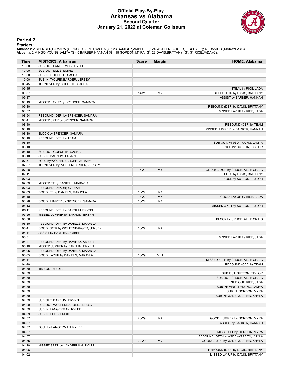#### **Official Play-By-Play Arkansas vs Alabama Second Quarter January 21, 2022 at Coleman Coliseum**



#### **Period 2**

<mark>Starters:</mark><br>Arkansas: 2 SPENCER,SAMARA (G); 13 GOFORTH,SASHA (G); 23 RAMIREZ,AMBER (G); 24 WOLFENBARGER,JERSEY (G); 43 DANIELS,MAKAYLA (G);<br>**Alabama**: 2 MINGO-YOUNG,JAMYA (G); 5 BARBER,HANNAH (G); 15 GORDON,MYRA (G); 23 DA

| Time           | <b>VISITORS: Arkansas</b>                                            | <b>Score</b> | <b>Margin</b>   | <b>HOME: Alabama</b>                                           |
|----------------|----------------------------------------------------------------------|--------------|-----------------|----------------------------------------------------------------|
| 10:00          | SUB OUT: LANGERMAN, RYLEE                                            |              |                 |                                                                |
| 10:00          | SUB OUT: ELLIS, EMRIE                                                |              |                 |                                                                |
| 10:00          | SUB IN: GOFORTH, SASHA                                               |              |                 |                                                                |
| 10:00          | SUB IN: WOLFENBARGER, JERSEY                                         |              |                 |                                                                |
| 09:45          | TURNOVER by GOFORTH, SASHA                                           |              |                 |                                                                |
| 09:45          |                                                                      |              |                 | STEAL by RICE, JADA                                            |
| 09:37          |                                                                      | $14 - 21$    | V <sub>7</sub>  | GOOD! 3PTR by DAVIS, BRITTANY                                  |
| 09:37          |                                                                      |              |                 | ASSIST by BARBER, HANNAH                                       |
| 09:13<br>09:10 | MISSED LAYUP by SPENCER, SAMARA                                      |              |                 |                                                                |
| 08:57          |                                                                      |              |                 | REBOUND (DEF) by DAVIS, BRITTANY<br>MISSED LAYUP by RICE, JADA |
| 08:54          | REBOUND (DEF) by SPENCER, SAMARA                                     |              |                 |                                                                |
| 08:41          | MISSED 3PTR by SPENCER, SAMARA                                       |              |                 |                                                                |
| 08:40          |                                                                      |              |                 | REBOUND (DEF) by TEAM                                          |
| 08:10          |                                                                      |              |                 | MISSED JUMPER by BARBER, HANNAH                                |
| 08:10          | BLOCK by SPENCER, SAMARA                                             |              |                 |                                                                |
| 08:10          | REBOUND (DEF) by TEAM                                                |              |                 |                                                                |
| 08:10          |                                                                      |              |                 | SUB OUT: MINGO-YOUNG, JAMYA                                    |
| 08:10          |                                                                      |              |                 | SUB IN: SUTTON, TAYLOR                                         |
| 08:10          | SUB OUT: GOFORTH, SASHA                                              |              |                 |                                                                |
| 08:10          | SUB IN: BARNUM, ERYNN                                                |              |                 |                                                                |
| 07:57          | FOUL by WOLFENBARGER, JERSEY                                         |              |                 |                                                                |
| 07:57          | TURNOVER by WOLFENBARGER, JERSEY                                     |              |                 |                                                                |
| 07:28          |                                                                      | $16 - 21$    | V <sub>5</sub>  | GOOD! LAYUP by CRUCE, ALLIE CRAIG                              |
| 07:11<br>07:03 |                                                                      |              |                 | FOUL by DAVIS, BRITTANY<br>FOUL by SUTTON, TAYLOR              |
| 07:03          | MISSED FT by DANIELS, MAKAYLA                                        |              |                 |                                                                |
| 07:03          | REBOUND (DEADB) by TEAM                                              |              |                 |                                                                |
| 07:03          | GOOD! FT by DANIELS, MAKAYLA                                         | 16-22        | $V_6$           |                                                                |
| 06:40          |                                                                      | 18-22        | V <sub>4</sub>  | GOOD! LAYUP by RICE, JADA                                      |
| 06:28          | GOOD! JUMPER by SPENCER, SAMARA                                      | 18-24        | $V_6$           |                                                                |
| 06:13          |                                                                      |              |                 | MISSED 3PTR by SUTTON, TAYLOR                                  |
| 06:11          | REBOUND (DEF) by BARNUM, ERYNN                                       |              |                 |                                                                |
| 05:56          | MISSED JUMPER by BARNUM, ERYNN                                       |              |                 |                                                                |
| 05:56          |                                                                      |              |                 | BLOCK by CRUCE, ALLIE CRAIG                                    |
| 05:50          | REBOUND (OFF) by DANIELS, MAKAYLA                                    |              |                 |                                                                |
| 05:41          | GOOD! 3PTR by WOLFENBARGER, JERSEY                                   | 18-27        | V <sub>9</sub>  |                                                                |
| 05:41          | ASSIST by RAMIREZ, AMBER                                             |              |                 |                                                                |
| 05:31          |                                                                      |              |                 | MISSED LAYUP by RICE, JADA                                     |
| 05:27          | REBOUND (DEF) by RAMIREZ, AMBER                                      |              |                 |                                                                |
| 05:10<br>05:05 | MISSED JUMPER by BARNUM, ERYNN                                       |              |                 |                                                                |
| 05:05          | REBOUND (OFF) by DANIELS, MAKAYLA<br>GOOD! LAYUP by DANIELS, MAKAYLA | 18-29        | V <sub>11</sub> |                                                                |
| 04:41          |                                                                      |              |                 | MISSED 3PTR by CRUCE, ALLIE CRAIG                              |
| 04:40          |                                                                      |              |                 | REBOUND (OFF) by TEAM                                          |
| 04:39          | <b>TIMEOUT MEDIA</b>                                                 |              |                 |                                                                |
| 04:39          |                                                                      |              |                 | SUB OUT: SUTTON, TAYLOR                                        |
| 04:39          |                                                                      |              |                 | SUB OUT: CRUCE, ALLIE CRAIG                                    |
| 04:39          |                                                                      |              |                 | SUB OUT: RICE, JADA                                            |
| 04:39          |                                                                      |              |                 | SUB IN: MINGO-YOUNG, JAMYA                                     |
| 04:39          |                                                                      |              |                 | SUB IN: GORDON, MYRA                                           |
| 04:39          |                                                                      |              |                 | SUB IN: WADE-WARREN, KHYLA                                     |
| 04:39          | SUB OUT: BARNUM, ERYNN                                               |              |                 |                                                                |
| 04:39          | SUB OUT: WOLFENBARGER, JERSEY                                        |              |                 |                                                                |
| 04:39          | SUB IN: LANGERMAN, RYLEE                                             |              |                 |                                                                |
| 04:39          | SUB IN: ELLIS, EMRIE                                                 |              |                 |                                                                |
| 04:37          |                                                                      | 20-29        | V <sub>9</sub>  | GOOD! JUMPER by GORDON, MYRA                                   |
| 04:37<br>04:37 | FOUL by LANGERMAN, RYLEE                                             |              |                 | ASSIST by BARBER, HANNAH                                       |
| 04:37          |                                                                      |              |                 | MISSED FT by GORDON, MYRA                                      |
| 04:37          |                                                                      |              |                 | REBOUND (OFF) by WADE-WARREN, KHYLA                            |
| 04:35          |                                                                      | 22-29        | V <sub>7</sub>  | GOOD! LAYUP by WADE-WARREN, KHYLA                              |
| 04:10          | MISSED 3PTR by LANGERMAN, RYLEE                                      |              |                 |                                                                |
| 04:06          |                                                                      |              |                 | REBOUND (DEF) by DAVIS, BRITTANY                               |
| 04:02          |                                                                      |              |                 | MISSED LAYUP by DAVIS, BRITTANY                                |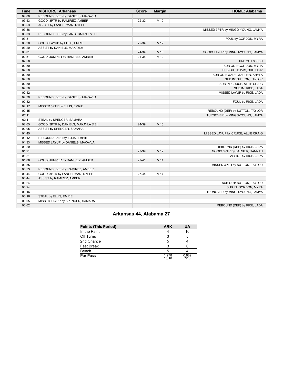| <b>Time</b> | <b>VISITORS: Arkansas</b>           | <b>Score</b> | <b>Margin</b>   | <b>HOME: Alabama</b>               |
|-------------|-------------------------------------|--------------|-----------------|------------------------------------|
| 04:00       | REBOUND (DEF) by DANIELS, MAKAYLA   |              |                 |                                    |
| 03:53       | GOOD! 3PTR by RAMIREZ, AMBER        | 22-32        | $V$ 10          |                                    |
| 03:53       | ASSIST by LANGERMAN, RYLEE          |              |                 |                                    |
| 03:36       |                                     |              |                 | MISSED 3PTR by MINGO-YOUNG, JAMYA  |
| 03:33       | REBOUND (DEF) by LANGERMAN, RYLEE   |              |                 |                                    |
| 03:31       |                                     |              |                 | FOUL by GORDON, MYRA               |
| 03:20       | GOOD! LAYUP by ELLIS, EMRIE         | $22 - 34$    | V <sub>12</sub> |                                    |
| 03:20       | ASSIST by DANIELS, MAKAYLA          |              |                 |                                    |
| 03:01       |                                     | 24-34        | $V$ 10          | GOOD! LAYUP by MINGO-YOUNG, JAMYA  |
| 02:51       | GOOD! JUMPER by RAMIREZ, AMBER      | 24-36        | V <sub>12</sub> |                                    |
| 02:50       |                                     |              |                 | TIMEOUT 30SEC                      |
| 02:50       |                                     |              |                 | SUB OUT: GORDON, MYRA              |
| 02:50       |                                     |              |                 | SUB OUT: DAVIS, BRITTANY           |
| 02:50       |                                     |              |                 | SUB OUT: WADE-WARREN, KHYLA        |
| 02:50       |                                     |              |                 | SUB IN: SUTTON, TAYLOR             |
| 02:50       |                                     |              |                 | SUB IN: CRUCE, ALLIE CRAIG         |
| 02:50       |                                     |              |                 | SUB IN: RICE, JADA                 |
| 02:42       |                                     |              |                 | MISSED LAYUP by RICE, JADA         |
| 02:39       | REBOUND (DEF) by DANIELS, MAKAYLA   |              |                 |                                    |
| 02:32       |                                     |              |                 | FOUL by RICE, JADA                 |
| 02:17       | MISSED 3PTR by ELLIS, EMRIE         |              |                 |                                    |
| 02:15       |                                     |              |                 | REBOUND (DEF) by SUTTON, TAYLOR    |
| 02:11       |                                     |              |                 | TURNOVER by MINGO-YOUNG, JAMYA     |
| 02:11       | STEAL by SPENCER, SAMARA            |              |                 |                                    |
| 02:05       | GOOD! 3PTR by DANIELS, MAKAYLA [FB] | 24-39        | V <sub>15</sub> |                                    |
| 02:05       | ASSIST by SPENCER, SAMARA           |              |                 |                                    |
| 01:45       |                                     |              |                 | MISSED LAYUP by CRUCE, ALLIE CRAIG |
| 01:42       | REBOUND (DEF) by ELLIS, EMRIE       |              |                 |                                    |
| 01:33       | MISSED LAYUP by DANIELS, MAKAYLA    |              |                 |                                    |
| 01:29       |                                     |              |                 | REBOUND (DEF) by RICE, JADA        |
| 01:21       |                                     | 27-39        | V <sub>12</sub> | GOOD! 3PTR by BARBER, HANNAH       |
| 01:21       |                                     |              |                 | ASSIST by RICE, JADA               |
| 01:08       | GOOD! JUMPER by RAMIREZ, AMBER      | $27 - 41$    | V <sub>14</sub> |                                    |
| 00:55       |                                     |              |                 | MISSED 3PTR by SUTTON, TAYLOR      |
| 00:53       | REBOUND (DEF) by RAMIREZ, AMBER     |              |                 |                                    |
| 00:44       | GOOD! 3PTR by LANGERMAN, RYLEE      | 27-44        | V <sub>17</sub> |                                    |
| 00:44       | ASSIST by RAMIREZ, AMBER            |              |                 |                                    |
| 00:24       |                                     |              |                 | SUB OUT: SUTTON, TAYLOR            |
| 00:24       |                                     |              |                 | SUB IN: GORDON, MYRA               |
| 00:16       |                                     |              |                 | TURNOVER by MINGO-YOUNG, JAMYA     |
| 00:16       | STEAL by ELLIS, EMRIE               |              |                 |                                    |
| 00:05       | MISSED LAYUP by SPENCER, SAMARA     |              |                 |                                    |
| 00:02       |                                     |              |                 | REBOUND (DEF) by RICE, JADA        |

# **Arkansas 44, Alabama 27**

| <b>Points (This Period)</b> | <b>ARK</b>     | UA            |
|-----------------------------|----------------|---------------|
| In the Paint                |                | 10            |
| Off Turns                   |                |               |
| 2nd Chance                  |                |               |
| Fast Break                  |                |               |
| Bench                       | 5              |               |
| Per Poss                    | 1.278<br>10/18 | 0.889<br>7/18 |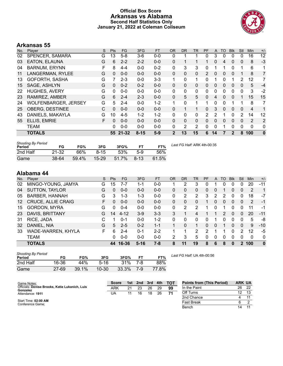### **Official Box Score Arkansas vs Alabama Second Half Statistics Only January 21, 2022 at Coleman Coliseum**



# **Arkansas 55**

| No. | Player                      | S | Pts      | <b>FG</b> | 3FG      | <b>FT</b> | <b>OR</b>    | <b>DR</b>    | TR       | PF             | A        | TO       | <b>Blk</b>  | Stl      | <b>Min</b>     | $+/-$          |
|-----|-----------------------------|---|----------|-----------|----------|-----------|--------------|--------------|----------|----------------|----------|----------|-------------|----------|----------------|----------------|
| 02  | SPENCER, SAMARA             | G | 13       | $5-8$     | $3-6$    | $0-0$     | 0            |              | 1        | 0              | 3        | 0        | $\Omega$    | 0        | 16             | 12             |
| 03  | <b>EATON, ELAUNA</b>        | G | 6        | $2 - 2$   | $2 - 2$  | $0 - 0$   | 0            | 1            |          |                | 0        | 4        | 0           | 0        | 8              | $-3$           |
| 04  | <b>BARNUM, ERYNN</b>        | F | 8        | $4 - 4$   | $0 - 0$  | $0 - 2$   | 0            | 3            | 3        | $\Omega$       |          | 1        | 0           | 1        | 6              | 1              |
| 11  | LANGERMAN, RYLEE            | G | $\Omega$ | $0 - 0$   | $0 - 0$  | $0 - 0$   | 0            | 0            | $\Omega$ | $\overline{2}$ | 0        | 0        | 0           |          | 8              | $\overline{7}$ |
| 13  | GOFORTH, SASHA              | G | 7        | $2 - 3$   | $0 - 0$  | $3 - 3$   | 1.           | 0            | 1.       | $\Omega$       |          | 0        |             | 2        | 12             | 7              |
| 15  | SAGE, ASHLYN                | G | $\Omega$ | $0 - 2$   | $0 - 2$  | $0 - 0$   | $\Omega$     | 0            | $\Omega$ | $\Omega$       | 0        | 0        | 0           | 0        | 5              | $-4$           |
| 22  | <b>HUGHES, AVERY</b>        | G | $\Omega$ | $0 - 0$   | $0 - 0$  | $0 - 0$   | $\Omega$     | $\mathbf{0}$ | 0        | $\Omega$       | 0        | $\Omega$ | 0           | 0        | 3              | $-2$           |
| 23  | RAMIREZ, AMBER              | G | 6        | $2 - 4$   | $2 - 3$  | $0 - 0$   | $\Omega$     | 5            | 5        | $\Omega$       | 4        | $\Omega$ | 0           | 1        | 15             | 15             |
| 24  | <b>WOLFENBARGER, JERSEY</b> | G | 5        | $2 - 4$   | $0 - 0$  | $1 - 2$   | 1.           | 0            | 1        | 1              | 0        | $\Omega$ |             | 1        | 8              | 7              |
| 25  | <b>OBERG, DESTINEE</b>      | C | $\Omega$ | $0 - 0$   | $0 - 0$  | $0 - 0$   | $\Omega$     | 1            | 1        | $\Omega$       | 3        | $\Omega$ | $\Omega$    | $\Omega$ | 4              | $\mathbf 1$    |
| 43  | DANIELS, MAKAYLA            | G | 10       | $4 - 5$   | $1 - 2$  | $1 - 2$   | $\Omega$     | $\Omega$     | $\Omega$ | 2              | 2        |          | 0           | 2        | 14             | 12             |
| 55  | ELLIS, EMRIE                | F | $\Omega$ | $0 - 0$   | $0 - 0$  | $0 - 0$   | 0            | $\Omega$     | $\Omega$ | $\Omega$       | $\Omega$ | $\Omega$ | $\Omega$    | $\Omega$ | $\overline{2}$ | 2              |
|     | <b>TEAM</b>                 |   | 0        | $0 - 0$   | $0 - 0$  | $0 - 0$   | 0            | 2            | 2        | 0              | 0        |          | 0           | 0        | $\Omega$       | 0              |
|     | <b>TOTALS</b>               |   |          | 55 21-32  | $8 - 15$ | $5-9$     | $\mathbf{2}$ | 13           | 15       | 6              | 14       | 7        | $\mathbf 2$ | 8        | 100            | $\bf{0}$       |

| <b>Shooting By Period</b><br>Period | FG        | FG%   | 3FG      | 3FG%  | FT.      | FT%   | Last FG Half: ARK 4th-00:35 |
|-------------------------------------|-----------|-------|----------|-------|----------|-------|-----------------------------|
| 2nd Half                            | $21 - 32$ | 66%   | $8 - 15$ | 53%   | $5-9$    | .56%  |                             |
| Game                                | 38-64     | 59.4% | $15-29$  | 51.7% | $8 - 13$ | 61.5% |                             |

# **Alabama 44**

| No. | Plaver                    | S  | <b>Pts</b> | FG       | 3FG      | FТ      | <b>OR</b>    | <b>DR</b> | TR | PF | A | TO | <b>Blk</b> | Stl      | Min      | $+/-$          |
|-----|---------------------------|----|------------|----------|----------|---------|--------------|-----------|----|----|---|----|------------|----------|----------|----------------|
| 02  | MINGO-YOUNG, JAMYA        | G  | 15         | 7-7      | 1-1      | 0-0     |              | 2         | 3  |    |   | 0  |            | 0        | 20       | -11            |
| 04  | <b>SUTTON, TAYLOR</b>     | G  | 0          | $0 - 0$  | $0 - 0$  | $0 - 0$ | 0            | 0         | 0  | 0  | 0 |    | 0          | 0        | 2        | $\overline{1}$ |
| 05  | <b>BARBER, HANNAH</b>     | G  | 3          | 1-3      | 1-3      | $0 - 0$ | 0            | 2         | 2  | 3  | 2 | 2  | 0          | 0        | 18       | $-7$           |
| 12  | <b>CRUCE, ALLIE CRAIG</b> | F. | 0          | $0 - 0$  | $0 - 0$  | $0 - 0$ | 0            | 0         | 0  |    | 0 | 0  | 0          | $\Omega$ | 2        | $-1$           |
| 15  | <b>GORDON, MYRA</b>       | G  | 0          | $0 - 4$  | $0 - 0$  | $0 - 0$ | $\mathbf{0}$ | 2         | 2  |    | 0 |    | 0          | 0        | 11       | -1             |
| 23  | DAVIS, BRITTANY           | G  | 14         | $4 - 12$ | $3-9$    | $3 - 3$ | 3            |           | 4  |    |   | 2  | $\Omega$   | 0        | 20       | $-11$          |
| 31  | RICE, JADA                | C  |            | $0 - 1$  | $0 - 0$  | 1-2     | 0            | 0         | 0  | 0  |   | 0  | 0          | 0        | 5        | -8             |
| 32  | DANIEL, NIA               | G  | 5          | $2 - 5$  | $0 - 2$  | $1 - 1$ | 1.           | 0         | 1. | 0  | 0 |    | 0          | $\Omega$ | 9        | $-10$          |
| 33  | WADE-WARREN, KHYLA        | F. | 6          | $2 - 4$  | $0 - 1$  | $2 - 2$ | 1            |           | 2  | 2  |   |    | 0          | 2        | 12       | -5             |
|     | <b>TEAM</b>               |    | 0          | $0 - 0$  | $0 - 0$  | $0 - 0$ | 2            | 3         | 5  | 0  | 0 | 0  | 0          | 0        | $\Omega$ | $\mathbf{0}$   |
|     | <b>TOTALS</b>             |    | 44         | 16-36    | $5 - 16$ | $7 - 8$ | 8            | 11        | 19 | 8  | 6 | 8  | 0          | 2        | 100      | $\mathbf{0}$   |

| <b>Shooting By Period</b><br>Period | FG        | FG%   | 3FG       | 3FG%  |     | FT%   |
|-------------------------------------|-----------|-------|-----------|-------|-----|-------|
| 2nd Half                            | 16-36     | 44%   | 5-16      | 31%   | 7-8 | 88%   |
| Game                                | $27 - 69$ | 39.1% | $10 - 30$ | 33.3% | 7-9 | 77.8% |

*Last FG Half:* UA 4th-00:56

| Game Notes:                                                | <b>Score</b> | 1st | 2nd | 3rd | 4th | <b>TOT</b> | <b>Points from (This Period)</b> | <b>ARK UA</b> |     |
|------------------------------------------------------------|--------------|-----|-----|-----|-----|------------|----------------------------------|---------------|-----|
| Officials: Denise Brooks, Katie Lukanich, Luis<br>Gonzalez | ARK          | 21  | 23  | 26  | 29  | 99         | In the Paint                     | 26            | -22 |
| Attendance: 1911                                           | UA           |     | 16  | 18  | 26  | 71         | Off Turns                        | 12            | 13  |
|                                                            |              |     |     |     |     |            | 2nd Chance                       |               |     |
| Start Time: 02:00 AM<br>Conference Game:                   |              |     |     |     |     |            | <b>Fast Break</b>                |               |     |
|                                                            |              |     |     |     |     |            | Bench                            | 14            |     |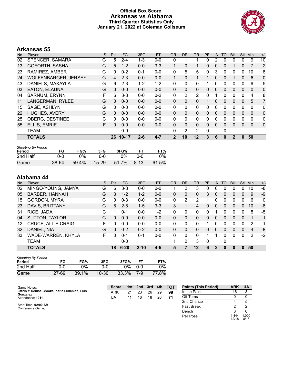### **Official Box Score Arkansas vs Alabama Third Quarter Statistics Only January 21, 2022 at Coleman Coliseum**



12/18 1.000 8/18

# **Arkansas 55**

| No. | Player                      | S | <b>Pts</b> | FG.       | 3FG     | <b>FT</b> | <b>OR</b> | DR.          | TR | PF | A            | TO       | <b>BIK</b> | <b>Stl</b>   | Min          | $+/-$          |
|-----|-----------------------------|---|------------|-----------|---------|-----------|-----------|--------------|----|----|--------------|----------|------------|--------------|--------------|----------------|
| 02  | SPENCER, SAMARA             | G | 5          | $2 - 4$   | 1-3     | $0 - 0$   | 0         |              |    | 0  |              | 0        | 0          | 0            | 9            | 10             |
| 13  | GOFORTH, SASHA              | G | 5          | $1 - 2$   | $0 - 0$ | $3 - 3$   |           | 0            |    | 0  | 0            | 0        |            | $\mathbf{0}$ |              | $\overline{2}$ |
| 23  | RAMIREZ, AMBER              | G | 0          | $0 - 2$   | $0 - 1$ | $0 - 0$   | 0         | 5            | 5  | 0  | 3            | 0        | $\Omega$   | 0            | 10           | 8              |
| 24  | <b>WOLFENBARGER, JERSEY</b> | G | 4          | $2 - 3$   | $0 - 0$ | $0 - 0$   |           | $\Omega$     |    |    | $\mathbf{0}$ | 0        |            | 0            | 6            | $\mathbf 0$    |
| 43  | DANIELS, MAKAYLA            | G | 6          | $2 - 3$   | $1 - 2$ | $1 - 2$   | 0         | $\Omega$     | 0  |    | 0            | 0        | 0          | 0            | 9            | 5              |
| 03  | EATON, ELAUNA               | G | 0          | $0 - 0$   | $0 - 0$ | $0 - 0$   | $\Omega$  | $\mathbf{0}$ | 0  | 0  | $\mathbf{0}$ | 0        | 0          | 0            | $\mathbf{0}$ | $\mathbf 0$    |
| 04  | <b>BARNUM, ERYNN</b>        | F | 6          | $3 - 3$   | $0 - 0$ | $0 - 2$   | 0         | 2            | 2  | 0  |              | 0        | $\Omega$   | $\Omega$     | 4            | 8              |
| 11  | LANGERMAN, RYLEE            | G | 0          | $0 - 0$   | $0 - 0$ | $0 - 0$   | $\Omega$  | $\Omega$     | 0  |    | $\mathbf{0}$ | 0        | 0          | $\mathbf{0}$ | 5            | 7              |
| 15  | SAGE, ASHLYN                | G | 0          | $0 - 0$   | $0 - 0$ | $0 - 0$   | 0         | $\Omega$     | 0  | 0  | $\Omega$     | 0        | $\Omega$   | $\Omega$     | $\Omega$     | $\mathbf{0}$   |
| 22  | <b>HUGHES, AVERY</b>        | G | 0          | $0 - 0$   | $0 - 0$ | $0 - 0$   | $\Omega$  | $\Omega$     | 0  | 0  | $\mathbf{0}$ | 0        | $\Omega$   | $\Omega$     | $\Omega$     | $\mathbf 0$    |
| 25  | <b>OBERG, DESTINEE</b>      | C | 0          | $0 - 0$   | $0 - 0$ | $0 - 0$   | 0         | $\Omega$     | 0  | 0  | 0            | 0        | 0          | $\Omega$     | $\Omega$     | $\mathbf{0}$   |
| 55  | ELLIS, EMRIE                | F | $\Omega$   | $0 - 0$   | $0 - 0$ | $0 - 0$   | $\Omega$  | $\Omega$     | 0  | 0  | $\Omega$     | 0        | 0          | $\Omega$     | $\Omega$     | $\mathbf 0$    |
|     | <b>TEAM</b>                 |   |            | $0 - 0$   |         |           | $\Omega$  | 2            | 2  | 0  |              | 0        |            |              |              |                |
|     | <b>TOTALS</b>               |   | 26         | $10 - 17$ | $2 - 6$ | $4 - 7$   | 2         | 10           | 12 | 3  | 6            | $\bf{0}$ | 2          | $\bf{0}$     | 50           |                |

| <b>Shooting By Period</b><br>Period | FG    | FG%   | 3FG       | 3FG%  |            | FT%   |
|-------------------------------------|-------|-------|-----------|-------|------------|-------|
| 2nd Half                            | 0-0   | 0%    | ი-ი       | ገ%    | <u>ດ-ດ</u> | 0%    |
| Game                                | 38-64 | 59.4% | $15 - 29$ | 51.7% | $8 - 13$   | 61.5% |

| No. | Player                    | S  | <b>Pts</b> | <b>FG</b> | 3FG      | <b>FT</b> | 0R | DR       | TR | PF           | A | TO | <b>Blk</b> | Stl      | Min | $+/-$       |
|-----|---------------------------|----|------------|-----------|----------|-----------|----|----------|----|--------------|---|----|------------|----------|-----|-------------|
| 02  | MINGO-YOUNG, JAMYA        | G  | 6          | $3 - 3$   | 0-0      | $0-0$     |    | 2        | 3  | 0            | 0 |    |            | 0        | 10  | -8          |
| 05  | <b>BARBER, HANNAH</b>     | G  | 3          | $1 - 2$   | $1 - 2$  | $0 - 0$   | 0  | 0        | 0  | 3            | 0 | 0  | 0          | 0        | 9   | -9          |
| 15  | <b>GORDON, MYRA</b>       | G  |            | $0 - 3$   | 0-0      | $0-0$     | 0  | 2        | 2  |              | 0 | 0  | 0          | 0        | 6   | 0           |
| 23  | DAVIS, BRITTANY           | G  | 8          | $2 - 8$   | $1-5$    | $3 - 3$   | 3  |          | 4  | 0            | 0 | 0  | 0          | 0        | 10  | -8          |
| 31  | RICE, JADA                | C  |            | $0 - 1$   | $0 - 0$  | $1 - 2$   | 0  | 0        | 0  | 0            |   | 0  | 0          | 0        | 5   | -5          |
| 04  | <b>SUTTON, TAYLOR</b>     | G  | $\Omega$   | $0 - 0$   | $0 - 0$  | $0 - 0$   | 0  | 0        | 0  | 0            | 0 | 0  | 0          | 0        | 1   | $\mathbf 1$ |
| 12  | <b>CRUCE, ALLIE CRAIG</b> | F  |            | $0 - 0$   | $0 - 0$  | $0 - 0$   | 0  | 0        | 0  | 1            | 0 | ∩  | 0          | 0        | 2   | -1          |
| 32  | DANIEL, NIA               | G  | 0          | $0 - 2$   | $0 - 2$  | $0 - 0$   | 0  | $\Omega$ | 0  | 0            | 0 | 0  | 0          | $\Omega$ | 4   | -8          |
| 33  | WADE-WARREN, KHYLA        | F. | ∩          | $0 - 1$   | 0-1      | $0 - 0$   | 0  | 0        | 0  | 4            |   | 0  | 0          | 0        | 2   | $-2$        |
|     | <b>TEAM</b>               |    |            | $0-0$     |          |           | 4  | 2        | 3  | $\mathbf{0}$ |   | 0  |            |          |     |             |
|     | <b>TOTALS</b>             |    | 18         | $6 - 20$  | $2 - 10$ | $4 - 5$   | 5  |          | 12 | 6            | 2 | 0  |            | 0        | 50  |             |

| <b>Shooting By Period</b><br>Period | FG        | FG%   | 3FG       | 3FG%  |     | FT%   |
|-------------------------------------|-----------|-------|-----------|-------|-----|-------|
| 2nd Half                            | ი-ი       | $0\%$ | ი-ი       | 0%    | ი-ი | $0\%$ |
| Game                                | $27 - 69$ | 39.1% | $10 - 30$ | 33.3% | 7-9 | 77.8% |

| Game Notes:                                                | <b>Score</b> | 1st | 2nd | -3rd | 4th | тот | <b>Points (This Period)</b> | ARK  | <b>UA</b> |
|------------------------------------------------------------|--------------|-----|-----|------|-----|-----|-----------------------------|------|-----------|
| Officials: Denise Brooks, Katie Lukanich, Luis<br>Gonzalez | ARK          | 21  | 23  | 26   | 29  | 99  | In the Paint                | 16   |           |
| Attendance: 1911                                           | UA           | 11  | 16  | 18   | 26  |     | Off Turns                   |      |           |
|                                                            |              |     |     |      |     |     | 2nd Chance                  |      |           |
| Start Time: 02:00 AM<br>Conference Game:                   |              |     |     |      |     |     | <b>Fast Break</b>           |      |           |
|                                                            |              |     |     |      |     |     | Bench                       |      |           |
|                                                            |              |     |     |      |     |     | Per Poss                    | .444 | 000.      |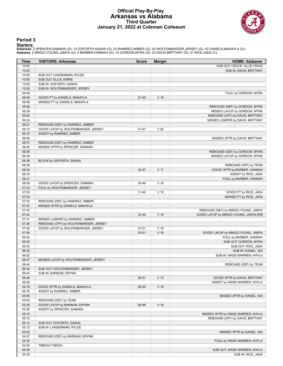#### **Official Play-By-Play Arkansas vs Alabama Third Quarter January 21, 2022 at Coleman Coliseum**



#### **Period 3**

<mark>Starters:</mark><br>Arkansas: 2 SPENCER,SAMARA (G); 13 GOFORTH,SASHA (G); 23 RAMIREZ,AMBER (G); 24 WOLFENBARGER,JERSEY (G); 43 DANIELS,MAKAYLA (G);<br>**Alabama**: 2 MINGO-YOUNG,JAMYA (G); 5 BARBER,HANNAH (G); 15 GORDON,MYRA (G); 23 DA

| Time           | <b>VISITORS: Arkansas</b>             | <b>Score</b> | <b>Margin</b>   | <b>HOME: Alabama</b>                              |
|----------------|---------------------------------------|--------------|-----------------|---------------------------------------------------|
| 10:00          |                                       |              |                 | SUB OUT: CRUCE, ALLIE CRAIG                       |
| 10:00          |                                       |              |                 | SUB IN: DAVIS, BRITTANY                           |
| 10:00          | SUB OUT: LANGERMAN, RYLEE             |              |                 |                                                   |
| 10:00          | SUB OUT: ELLIS, EMRIE                 |              |                 |                                                   |
| 10:00          | SUB IN: GOFORTH, SASHA                |              |                 |                                                   |
| 10:00          | SUB IN: WOLFENBARGER, JERSEY          |              |                 |                                                   |
| 09:48          |                                       |              |                 | FOUL by GORDON, MYRA                              |
| 09:48          | GOOD! FT by DANIELS, MAKAYLA          | $27 - 45$    | V <sub>18</sub> |                                                   |
| 09:48          | MISSED FT by DANIELS, MAKAYLA         |              |                 |                                                   |
| 09:48          |                                       |              |                 | REBOUND (DEF) by GORDON, MYRA                     |
| 09:28          |                                       |              |                 | MISSED LAYUP by GORDON, MYRA                      |
| 09:25          |                                       |              |                 | REBOUND (OFF) by DAVIS, BRITTANY                  |
| 09:24          |                                       |              |                 | MISSED JUMPER by DAVIS, BRITTANY                  |
| 09:21          | REBOUND (DEF) by RAMIREZ, AMBER       |              |                 |                                                   |
| 09:12          | GOOD! LAYUP by WOLFENBARGER, JERSEY   | 27-47        | V <sub>20</sub> |                                                   |
| 09:12          | ASSIST by RAMIREZ, AMBER              |              |                 |                                                   |
| 08:55          |                                       |              |                 | MISSED 3PTR by DAVIS, BRITTANY                    |
| 08:51          | REBOUND (DEF) by RAMIREZ, AMBER       |              |                 |                                                   |
| 08:42          | MISSED 3PTR by SPENCER, SAMARA        |              |                 |                                                   |
| 08:39          |                                       |              |                 | REBOUND (DEF) by GORDON, MYRA                     |
| 08:36          |                                       |              |                 | MISSED LAYUP by GORDON, MYRA                      |
| 08:36          | BLOCK by GOFORTH, SASHA               |              |                 |                                                   |
| 08:36          |                                       |              |                 | REBOUND (OFF) by TEAM                             |
| 08:33          |                                       | 30-47        | V 17            | GOOD! 3PTR by BARBER, HANNAH                      |
| 08:33          |                                       |              |                 | ASSIST by RICE, JADA                              |
| 08:21          |                                       |              |                 | FOUL by BARBER, HANNAH                            |
| 08:09          | GOOD! LAYUP by SPENCER, SAMARA        | 30-49        | V <sub>19</sub> |                                                   |
| 07:53          | FOUL by WOLFENBARGER, JERSEY          |              |                 |                                                   |
| 07:53          |                                       | 31-49        | V <sub>18</sub> | GOOD! FT by RICE, JADA                            |
| 07:53          |                                       |              |                 | MISSED FT by RICE, JADA                           |
| 07:53          | REBOUND (DEF) by RAMIREZ, AMBER       |              |                 |                                                   |
| 07:47          | MISSED 3PTR by DANIELS, MAKAYLA       |              |                 |                                                   |
| 07:43          |                                       |              |                 | REBOUND (DEF) by MINGO-YOUNG, JAMYA               |
| 07:42          |                                       | 33-49        | V <sub>16</sub> | GOOD! LAYUP by MINGO-YOUNG, JAMYA [FB]            |
| 07:31          | MISSED JUMPER by RAMIREZ, AMBER       |              |                 |                                                   |
| 07:26          | REBOUND (OFF) by WOLFENBARGER, JERSEY |              |                 |                                                   |
| 07:26          | GOOD! LAYUP by WOLFENBARGER, JERSEY   | 33-51        | V <sub>18</sub> |                                                   |
| 07:00          |                                       | $35 - 51$    | V <sub>16</sub> | GOOD! LAYUP by MINGO-YOUNG, JAMYA                 |
| 06:52<br>06:52 |                                       |              |                 | FOUL by BARBER, HANNAH                            |
| 06:52          |                                       |              |                 | SUB OUT: GORDON, MYRA<br>SUB OUT: RICE, JADA      |
| 06:52          |                                       |              |                 |                                                   |
| 06:52          |                                       |              |                 | SUB IN: DANIEL, NIA<br>SUB IN: WADE-WARREN, KHYLA |
| 06:47          | MISSED LAYUP by WOLFENBARGER, JERSEY  |              |                 |                                                   |
| 06:44          |                                       |              |                 | REBOUND (DEF) by TEAM                             |
| 06:44          | SUB OUT: WOLFENBARGER, JERSEY         |              |                 |                                                   |
| 06:44          | SUB IN: BARNUM, ERYNN                 |              |                 |                                                   |
| 06:28          |                                       | 38-51        | V <sub>13</sub> | GOOD! 3PTR by DAVIS, BRITTANY                     |
| 06:28          |                                       |              |                 | ASSIST by WADE-WARREN, KHYLA                      |
| 06:16          | GOOD! 3PTR by DANIELS, MAKAYLA        | 38-54        | V <sub>16</sub> |                                                   |
| 06:16          | ASSIST by RAMIREZ, AMBER              |              |                 |                                                   |
| 05:56          |                                       |              |                 | MISSED 3PTR by DANIEL, NIA                        |
| 05:54          | REBOUND (DEF) by TEAM                 |              |                 |                                                   |
| 05:29          | GOOD! LAYUP by BARNUM, ERYNN          | 38-56        | V 18            |                                                   |
| 05:29          | ASSIST by SPENCER, SAMARA             |              |                 |                                                   |
| 05:15          |                                       |              |                 | MISSED 3PTR by WADE-WARREN, KHYLA                 |
| 05:12          |                                       |              |                 | REBOUND (OFF) by DAVIS, BRITTANY                  |
| 05:12          | SUB OUT: GOFORTH, SASHA               |              |                 |                                                   |
| 05:12          | SUB IN: LANGERMAN, RYLEE              |              |                 |                                                   |
| 05:00          |                                       |              |                 | MISSED 3PTR by DANIEL, NIA                        |
| 04:57          | REBOUND (DEF) by BARNUM, ERYNN        |              |                 |                                                   |
| 04:35          |                                       |              |                 | FOUL by WADE-WARREN, KHYLA                        |
| 04:35          | <b>TIMEOUT MEDIA</b>                  |              |                 |                                                   |
| 04:35          |                                       |              |                 | SUB OUT: WADE-WARREN, KHYLA                       |
| 04:35          |                                       |              |                 | SUB IN: RICE, JADA                                |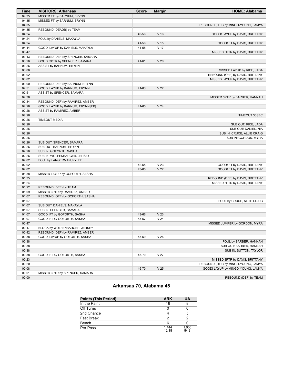| <b>Time</b> | <b>VISITORS: Arkansas</b>         | <b>Score</b> | <b>Margin</b>   | <b>HOME: Alabama</b>                |
|-------------|-----------------------------------|--------------|-----------------|-------------------------------------|
| 04:35       | MISSED FT by BARNUM, ERYNN        |              |                 |                                     |
| 04:35       | MISSED FT by BARNUM, ERYNN        |              |                 |                                     |
| 04:35       |                                   |              |                 | REBOUND (DEF) by MINGO-YOUNG, JAMYA |
| 04:35       | REBOUND (DEADB) by TEAM           |              |                 |                                     |
| 04:24       |                                   | 40-56        | V <sub>16</sub> | GOOD! LAYUP by DAVIS, BRITTANY      |
| 04:24       | FOUL by DANIELS, MAKAYLA          |              |                 |                                     |
| 04:24       |                                   | 41-56        | V <sub>15</sub> | GOOD! FT by DAVIS, BRITTANY         |
| 04:14       | GOOD! LAYUP by DANIELS, MAKAYLA   | 41-58        | V <sub>17</sub> |                                     |
| 03:47       |                                   |              |                 | MISSED 3PTR by DAVIS, BRITTANY      |
| 03:43       | REBOUND (DEF) by SPENCER, SAMARA  |              |                 |                                     |
| 03:26       | GOOD! 3PTR by SPENCER, SAMARA     | 41-61        | V <sub>20</sub> |                                     |
| 03:26       | ASSIST by BARNUM, ERYNN           |              |                 |                                     |
| 03:06       |                                   |              |                 | MISSED LAYUP by RICE, JADA          |
| 03:02       |                                   |              |                 | REBOUND (OFF) by DAVIS, BRITTANY    |
| 03:02       |                                   |              |                 | MISSED LAYUP by DAVIS, BRITTANY     |
| 03:00       | REBOUND (DEF) by BARNUM, ERYNN    |              |                 |                                     |
| 02:51       | GOOD! LAYUP by BARNUM, ERYNN      | 41-63        | V <sub>22</sub> |                                     |
| 02:51       | ASSIST by SPENCER, SAMARA         |              |                 |                                     |
| 02:38       |                                   |              |                 | MISSED 3PTR by BARBER, HANNAH       |
| 02:34       | REBOUND (DEF) by RAMIREZ, AMBER   |              |                 |                                     |
| 02:28       | GOOD! LAYUP by BARNUM, ERYNN [FB] | 41-65        | V <sub>24</sub> |                                     |
| 02:28       | ASSIST by RAMIREZ, AMBER          |              |                 |                                     |
| 02:26       |                                   |              |                 | TIMEOUT 30SEC                       |
| 02:26       | <b>TIMEOUT MEDIA</b>              |              |                 |                                     |
| 02:26       |                                   |              |                 | SUB OUT: RICE, JADA                 |
| 02:26       |                                   |              |                 | SUB OUT: DANIEL, NIA                |
| 02:26       |                                   |              |                 | SUB IN: CRUCE, ALLIE CRAIG          |
| 02:26       |                                   |              |                 | SUB IN: GORDON, MYRA                |
| 02:26       | SUB OUT: SPENCER, SAMARA          |              |                 |                                     |
| 02:26       | SUB OUT: BARNUM, ERYNN            |              |                 |                                     |
| 02:26       | SUB IN: GOFORTH, SASHA            |              |                 |                                     |
| 02:26       | SUB IN: WOLFENBARGER, JERSEY      |              |                 |                                     |
| 02:02       | FOUL by LANGERMAN, RYLEE          |              |                 |                                     |
| 02:02       |                                   | 42-65        | V <sub>23</sub> | GOOD! FT by DAVIS, BRITTANY         |
| 02:02       |                                   | 43-65        | V <sub>22</sub> | GOOD! FT by DAVIS, BRITTANY         |
| 01:38       | MISSED LAYUP by GOFORTH, SASHA    |              |                 |                                     |
| 01:35       |                                   |              |                 | REBOUND (DEF) by DAVIS, BRITTANY    |
| 01:24       |                                   |              |                 | MISSED 3PTR by DAVIS, BRITTANY      |
| 01:22       | REBOUND (DEF) by TEAM             |              |                 |                                     |
| 01:09       | MISSED 3PTR by RAMIREZ, AMBER     |              |                 |                                     |
| 01:07       | REBOUND (OFF) by GOFORTH, SASHA   |              |                 |                                     |
| 01:07       |                                   |              |                 | FOUL by CRUCE, ALLIE CRAIG          |
| 01:07       | SUB OUT: DANIELS, MAKAYLA         |              |                 |                                     |
| 01:07       | SUB IN: SPENCER, SAMARA           |              |                 |                                     |
| 01:07       | GOOD! FT by GOFORTH, SASHA        | 43-66        | V <sub>23</sub> |                                     |
| 01:07       | GOOD! FT by GOFORTH, SASHA        | 43-67        | V <sub>24</sub> |                                     |
| 00:47       |                                   |              |                 | MISSED JUMPER by GORDON, MYRA       |
| 00:47       | BLOCK by WOLFENBARGER, JERSEY     |              |                 |                                     |
| 00:42       |                                   |              |                 |                                     |
|             | REBOUND (DEF) by RAMIREZ, AMBER   |              |                 |                                     |
| 00:38       | GOOD! LAYUP by GOFORTH, SASHA     | 43-69        | V <sub>26</sub> |                                     |
| 00:38       |                                   |              |                 | FOUL by BARBER, HANNAH              |
| 00:38       |                                   |              |                 | SUB OUT: BARBER, HANNAH             |
| 00:38       |                                   |              |                 | SUB IN: SUTTON, TAYLOR              |
| 00:38       | GOOD! FT by GOFORTH, SASHA        | 43-70        | V <sub>27</sub> |                                     |
| 00:23       |                                   |              |                 | MISSED 3PTR by DAVIS, BRITTANY      |
| 00:20       |                                   |              |                 | REBOUND (OFF) by MINGO-YOUNG, JAMYA |
| 00:08       |                                   | 45-70        | V <sub>25</sub> | GOOD! LAYUP by MINGO-YOUNG, JAMYA   |
| 00:01       | MISSED 3PTR by SPENCER, SAMARA    |              |                 |                                     |
| 00:00       |                                   |              |                 | REBOUND (DEF) by TEAM               |

# **Arkansas 70, Alabama 45**

| <b>Points (This Period)</b> | <b>ARK</b>     | UA            |
|-----------------------------|----------------|---------------|
| In the Paint                | 16             |               |
| Off Turns                   |                |               |
| 2nd Chance                  |                | 5             |
| <b>Fast Break</b>           |                |               |
| Bench                       | 6              |               |
| Per Poss                    | 1.444<br>12/18 | 1.000<br>8/18 |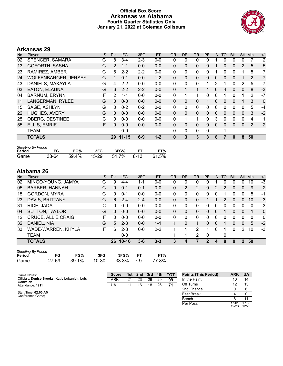### **Official Box Score Arkansas vs Alabama Fourth Quarter Statistics Only January 21, 2022 at Coleman Coliseum**



# **Arkansas 29**

| No. | <b>Plaver</b>               | S | <b>Pts</b>     | FG        | 3FG     | <b>FT</b> | <b>OR</b>    | D <sub>R</sub> | TR | PF       | A        | TO       | <b>BIK</b> | <b>Stl</b>   | Min            | $+/-$ |
|-----|-----------------------------|---|----------------|-----------|---------|-----------|--------------|----------------|----|----------|----------|----------|------------|--------------|----------------|-------|
| 02  | SPENCER, SAMARA             | G | 8              | $3 - 4$   | $2 - 3$ | $0 - 0$   | 0            | 0              | 0  | 0        |          | 0        | 0          | 0            | 7              | 2     |
| 13  | GOFORTH, SASHA              | G | $\overline{2}$ | $1 - 1$   | $0 - 0$ | $0 - 0$   | 0            | $\mathbf{0}$   | 0  | 0        |          | 0        | 0          | 2            | 5              | 5     |
| 23  | RAMIREZ, AMBER              | G | 6              | $2 - 2$   | $2 - 2$ | $0 - 0$   | $\Omega$     | 0              | 0  | 0        |          | 0        | 0          |              | 5              | 7     |
| 24  | <b>WOLFENBARGER, JERSEY</b> | G |                | $0 - 1$   | $0 - 0$ | $1 - 2$   | $\Omega$     | $\mathbf{0}$   | 0  | 0        | $\Omega$ | 0        | 0          |              | 2              | 7     |
| 43  | DANIELS, MAKAYLA            | G | 4              | $2 - 2$   | $0 - 0$ | $0 - 0$   | $\Omega$     | $\Omega$       | 0  | 1        | 2        |          | 0          | 2            | 5              | 7     |
| 03  | <b>EATON, ELAUNA</b>        | G | 6              | $2 - 2$   | $2 - 2$ | $0 - 0$   | $\Omega$     |                | 1  |          | $\Omega$ | 4        | $\Omega$   | $\Omega$     | 8              | $-3$  |
| 04  | <b>BARNUM, ERYNN</b>        | F | 2              | $1 - 1$   | $0 - 0$ | $0 - 0$   | $\Omega$     |                | 1  | 0        | $\Omega$ |          | 0          |              | $\overline{2}$ | $-7$  |
| 11  | LANGERMAN, RYLEE            | G | 0              | $0 - 0$   | $0 - 0$ | $0 - 0$   | $\Omega$     | $\mathbf{0}$   | 0  |          | $\Omega$ | $\Omega$ | 0          |              | 3              | 0     |
| 15  | SAGE, ASHLYN                | G | $\Omega$       | $0 - 2$   | $0 - 2$ | $0 - 0$   | $\mathbf{0}$ | $\mathbf{0}$   | 0  | 0        | $\Omega$ | 0        | 0          | 0            | 5              | $-4$  |
| 22  | <b>HUGHES, AVERY</b>        | G | 0              | $0 - 0$   | $0 - 0$ | $0 - 0$   | $\Omega$     | $\mathbf{0}$   | 0  | 0        | $\Omega$ | 0        | 0          | $\mathbf{0}$ | 3              | $-2$  |
| 25  | <b>OBERG, DESTINEE</b>      | С | 0              | $0 - 0$   | $0 - 0$ | $0 - 0$   | $\mathbf{0}$ |                | 1  | 0        | 3        | 0        | 0          | $\mathbf 0$  | 4              | 1     |
| 55  | ELLIS, EMRIE                | F | $\Omega$       | $0 - 0$   | $0 - 0$ | $0 - 0$   | $\Omega$     | 0              | 0  | $\Omega$ | $\Omega$ | 0        | 0          | $\mathbf{0}$ | 2              | 2     |
|     | <b>TEAM</b>                 |   |                | $0 - 0$   |         |           | $\Omega$     | $\Omega$       | 0  | 0        |          |          |            |              |                |       |
|     | <b>TOTALS</b>               |   | 29             | $11 - 15$ | $6 - 9$ | $1 - 2$   | $\bf{0}$     | 3              | 3  | 3        | 8        |          | 0          | 8            | 50             |       |

| <b>Shooting By Period</b> |       |          |         |       |      |       |
|---------------------------|-------|----------|---------|-------|------|-------|
| Period                    | FG    | FG%      | 3FG     | 3FG%  | FТ   | FT%   |
| Game                      | 38-64 | $59.4\%$ | $15-29$ | 51.7% | 8-13 | 61.5% |

| No. | Player                    | S  | <b>Pts</b> | <b>FG</b> | 3FG     | <b>FT</b> | 0R           | DR | TR             | <b>PF</b> | A        | TO | <b>B</b> lk | Stl           | Min | $+/-$        |
|-----|---------------------------|----|------------|-----------|---------|-----------|--------------|----|----------------|-----------|----------|----|-------------|---------------|-----|--------------|
| 02  | MINGO-YOUNG, JAMYA        | G  | 9          | $4 - 4$   | 1-1     | $0-0$     | 0            | 0  | 0              | 0         |          |    | 0           | 0             | 10  | -3           |
| 05  | <b>BARBER, HANNAH</b>     | G  | 0          | $0 - 1$   | $0 - 1$ | $0 - 0$   | $\Omega$     | 2  | $\overline{2}$ | 0         | 2        | 2  | 0           | 0             | 9   | 2            |
| 15  | <b>GORDON, MYRA</b>       | G  | n          | $0 - 1$   | $0 - 0$ | $0-0$     | 0            | 0  | 0              | ი         | 0        |    |             | 0             | 5   | -1           |
| 23  | DAVIS, BRITTANY           | G  | 6          | $2 - 4$   | $2 - 4$ | $0-0$     | 0            | 0  | 0              |           |          | 2  | 0           | 0             | 10  | $-3$         |
| 31  | RICE, JADA                | С  | 0          | $0 - 0$   | $0 - 0$ | $0-0$     | 0            | 0  | 0              | 0         | 0        |    | 0           | 0             | 0   | -3           |
| 04  | <b>SUTTON, TAYLOR</b>     | G  | 0          | $0 - 0$   | $0 - 0$ | $0-0$     | $\mathbf{0}$ | 0  | 0              | 0         | 0        |    | 0           | $\mathbf{0}$  |     | $\mathbf{0}$ |
| 12  | <b>CRUCE, ALLIE CRAIG</b> | F. | 0          | $0 - 0$   | $0 - 0$ | $0 - 0$   | $\Omega$     | 0  | 0              | 0         | 0        | 0  | 0           | 0             | 0   | $\mathbf{0}$ |
| 32  | DANIEL, NIA               | G  | 5          | $2 - 3$   | $0 - 0$ | $1 - 1$   |              | 0  | 1              | 0         | $\Omega$ |    | 0           | $\Omega$      | 5   | $-2$         |
| 33  | WADE-WARREN, KHYLA        | F. | 6          | $2 - 3$   | $0 - 0$ | $2 - 2$   |              |    | 2              |           | 0        |    | 0           | 2             | 10  | -3           |
|     | <b>TEAM</b>               |    |            | $0-0$     |         |           |              |    | 2              | 0         |          | 0  |             |               |     |              |
|     | <b>TOTALS</b>             |    | 26         | $10 - 16$ | $3 - 6$ | $3 - 3$   | 3            | 4  |                | 2         | 4        | 8  | 0           | $\mathcal{P}$ | 50  |              |

| <b>Shooting By Period</b> |       |       |       |       |     |       |
|---------------------------|-------|-------|-------|-------|-----|-------|
| Period                    | FG    | FG%   | 3FG   | 3FG%  |     | FT%   |
| Game                      | 27-69 | 39.1% | 10-30 | 33.3% | 7-9 | 77.8% |

| Game Notes:                                                | Score |    | 1st 2nd | 3rd | 4th | тот | <b>Points (This Period)</b> | <b>ARK</b>    | <b>UA</b>      |
|------------------------------------------------------------|-------|----|---------|-----|-----|-----|-----------------------------|---------------|----------------|
| Officials: Denise Brooks, Katie Lukanich, Luis<br>Gonzalez | ARK   | 21 | 23      | 26  | 29  | 99  | In the Paint                |               | 14             |
| Attendance: 1911                                           | UA    |    | 16      | 18  | 26  | 74  | Off Turns                   |               | 13             |
|                                                            |       |    |         |     |     |     | 2nd Chance                  |               | -6             |
| Start Time: 02:00 AM<br>Conference Game;                   |       |    |         |     |     |     | <b>Fast Break</b>           |               |                |
|                                                            |       |    |         |     |     |     | Bench                       |               |                |
|                                                            |       |    |         |     |     |     | Per Poss                    | .261<br>12/23 | 1.130<br>12/23 |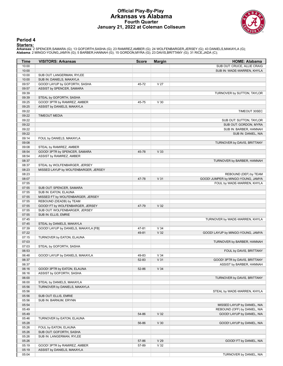#### **Official Play-By-Play Arkansas vs Alabama Fourth Quarter January 21, 2022 at Coleman Coliseum**



#### **Period 4**

<mark>Starters:</mark><br>Arkansas: 2 SPENCER,SAMARA (G); 13 GOFORTH,SASHA (G); 23 RAMIREZ,AMBER (G); 24 WOLFENBARGER,JERSEY (G); 43 DANIELS,MAKAYLA (G);<br>**Alabama**: 2 MINGO-YOUNG,JAMYA (G); 5 BARBER,HANNAH (G); 15 GORDON,MYRA (G); 23 DA

| Time           | <b>VISITORS: Arkansas</b>                         | <b>Score</b> | <b>Margin</b>   | <b>HOME: Alabama</b>               |
|----------------|---------------------------------------------------|--------------|-----------------|------------------------------------|
| 10:00          |                                                   |              |                 | SUB OUT: CRUCE, ALLIE CRAIG        |
| 10:00          |                                                   |              |                 | SUB IN: WADE-WARREN, KHYLA         |
| 10:00          | SUB OUT: LANGERMAN, RYLEE                         |              |                 |                                    |
| 10:00          | SUB IN: DANIELS, MAKAYLA                          |              |                 |                                    |
| 09:57<br>09:57 | GOOD! LAYUP by GOFORTH, SASHA                     | 45-72        | V <sub>27</sub> |                                    |
| 09:39          | ASSIST by SPENCER, SAMARA                         |              |                 | TURNOVER by SUTTON, TAYLOR         |
| 09:39          | STEAL by GOFORTH, SASHA                           |              |                 |                                    |
| 09:25          | GOOD! 3PTR by RAMIREZ, AMBER                      | 45-75        | V <sub>30</sub> |                                    |
| 09:25          | ASSIST by DANIELS, MAKAYLA                        |              |                 |                                    |
| 09:22          |                                                   |              |                 | TIMEOUT 30SEC                      |
| 09:22          | <b>TIMEOUT MEDIA</b>                              |              |                 |                                    |
| 09:22          |                                                   |              |                 | SUB OUT: SUTTON, TAYLOR            |
| 09:22          |                                                   |              |                 | SUB OUT: GORDON, MYRA              |
| 09:22          |                                                   |              |                 | SUB IN: BARBER, HANNAH             |
| 09:22<br>09:14 | FOUL by DANIELS, MAKAYLA                          |              |                 | SUB IN: DANIEL, NIA                |
| 09:08          |                                                   |              |                 | TURNOVER by DAVIS, BRITTANY        |
| 09:08          | STEAL by RAMIREZ, AMBER                           |              |                 |                                    |
| 08:54          | GOOD! 3PTR by SPENCER, SAMARA                     | 45-78        | V <sub>33</sub> |                                    |
| 08:54          | ASSIST by RAMIREZ, AMBER                          |              |                 |                                    |
| 08:37          |                                                   |              |                 | TURNOVER by BARBER, HANNAH         |
| 08:37          | STEAL by WOLFENBARGER, JERSEY                     |              |                 |                                    |
| 08:23          | MISSED LAYUP by WOLFENBARGER, JERSEY              |              |                 |                                    |
| 08:23          |                                                   |              |                 | REBOUND (DEF) by TEAM              |
| 08:07          |                                                   | 47-78        | V <sub>31</sub> | GOOD! JUMPER by MINGO-YOUNG, JAMYA |
| 07:55          |                                                   |              |                 | FOUL by WADE-WARREN, KHYLA         |
| 07:55<br>07:55 | SUB OUT: SPENCER, SAMARA<br>SUB IN: EATON, ELAUNA |              |                 |                                    |
| 07:55          | MISSED FT by WOLFENBARGER, JERSEY                 |              |                 |                                    |
| 07:55          | REBOUND (DEADB) by TEAM                           |              |                 |                                    |
| 07:55          | GOOD! FT by WOLFENBARGER, JERSEY                  | 47-79        | V <sub>32</sub> |                                    |
| 07:55          | SUB OUT: WOLFENBARGER, JERSEY                     |              |                 |                                    |
| 07:55          | SUB IN: ELLIS, EMRIE                              |              |                 |                                    |
| 07:45          |                                                   |              |                 | TURNOVER by WADE-WARREN, KHYLA     |
| 07:45          | STEAL by DANIELS, MAKAYLA                         |              |                 |                                    |
| 07:39          | GOOD! LAYUP by DANIELS, MAKAYLA [FB]              | 47-81        | V <sub>34</sub> |                                    |
| 07:22          |                                                   | 49-81        | V <sub>32</sub> | GOOD! LAYUP by MINGO-YOUNG, JAMYA  |
| 07:15<br>07:03 | TURNOVER by EATON, ELAUNA                         |              |                 | TURNOVER by BARBER, HANNAH         |
| 07:03          | STEAL by GOFORTH, SASHA                           |              |                 |                                    |
| 06:53          |                                                   |              |                 | FOUL by DAVIS, BRITTANY            |
| 06:48          | GOOD! LAYUP by DANIELS, MAKAYLA                   | 49-83        | V <sub>34</sub> |                                    |
| 06:37          |                                                   | 52-83        | V <sub>31</sub> | GOOD! 3PTR by DAVIS, BRITTANY      |
| 06:37          |                                                   |              |                 | ASSIST by BARBER, HANNAH           |
| 06:16          | GOOD! 3PTR by EATON, ELAUNA                       | 52-86        | V <sub>34</sub> |                                    |
| 06:16          | ASSIST by GOFORTH, SASHA                          |              |                 |                                    |
| 06:00          |                                                   |              |                 | TURNOVER by DAVIS, BRITTANY        |
| 06:00          | STEAL by DANIELS, MAKAYLA                         |              |                 |                                    |
| 05:56          | TURNOVER by DANIELS, MAKAYLA                      |              |                 |                                    |
| 05:56<br>05:56 | SUB OUT: ELLIS, EMRIE                             |              |                 | STEAL by WADE-WARREN, KHYLA        |
| 05:56          | SUB IN: BARNUM, ERYNN                             |              |                 |                                    |
| 05:54          |                                                   |              |                 | MISSED LAYUP by DANIEL, NIA        |
| 05:49          |                                                   |              |                 | REBOUND (OFF) by DANIEL, NIA       |
| 05:49          |                                                   | 54-86        | V <sub>32</sub> | GOOD! LAYUP by DANIEL, NIA         |
| 05:46          | TURNOVER by EATON, ELAUNA                         |              |                 |                                    |
| 05:28          |                                                   | 56-86        | V <sub>30</sub> | GOOD! LAYUP by DANIEL, NIA         |
| 05:26          | FOUL by EATON, ELAUNA                             |              |                 |                                    |
| 05:26          | SUB OUT: GOFORTH, SASHA                           |              |                 |                                    |
| 05:26          | SUB IN: LANGERMAN, RYLEE                          |              |                 |                                    |
| 05:26          |                                                   | 57-86        | V <sub>29</sub> | GOOD! FT by DANIEL, NIA            |
| 05:19          | GOOD! 3PTR by RAMIREZ, AMBER                      | 57-89        | V <sub>32</sub> |                                    |
| 05:19          | ASSIST by DANIELS, MAKAYLA                        |              |                 |                                    |
| 05:04          |                                                   |              |                 | TURNOVER by DANIEL, NIA            |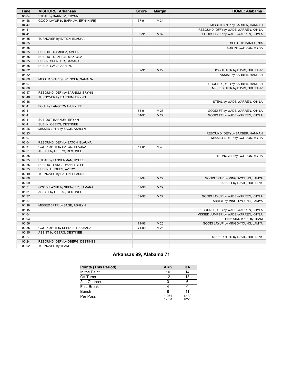| Time  | <b>VISITORS: Arkansas</b>         | <b>Score</b> | <b>Margin</b>   | <b>HOME: Alabama</b>                |
|-------|-----------------------------------|--------------|-----------------|-------------------------------------|
| 05:04 | STEAL by BARNUM, ERYNN            |              |                 |                                     |
| 04:58 | GOOD! LAYUP by BARNUM, ERYNN [FB] | 57-91        | V <sub>34</sub> |                                     |
| 04:47 |                                   |              |                 | MISSED 3PTR by BARBER, HANNAH       |
| 04:41 |                                   |              |                 | REBOUND (OFF) by WADE-WARREN, KHYLA |
| 04:41 |                                   | 59-91        | V <sub>32</sub> | GOOD! LAYUP by WADE-WARREN, KHYLA   |
| 04:35 | TURNOVER by EATON, ELAUNA         |              |                 |                                     |
| 04:35 |                                   |              |                 | SUB OUT: DANIEL, NIA                |
| 04:35 |                                   |              |                 | SUB IN: GORDON, MYRA                |
| 04:35 | SUB OUT: RAMIREZ, AMBER           |              |                 |                                     |
| 04:35 | SUB OUT: DANIELS, MAKAYLA         |              |                 |                                     |
| 04:35 | SUB IN: SPENCER, SAMARA           |              |                 |                                     |
| 04:35 | SUB IN: SAGE, ASHLYN              |              |                 |                                     |
| 04:32 |                                   | 62-91        | V <sub>29</sub> | GOOD! 3PTR by DAVIS, BRITTANY       |
| 04:32 |                                   |              |                 | ASSIST by BARBER, HANNAH            |
| 04:09 | MISSED 3PTR by SPENCER, SAMARA    |              |                 |                                     |
| 04:07 |                                   |              |                 | REBOUND (DEF) by BARBER, HANNAH     |
| 04:00 |                                   |              |                 | MISSED 3PTR by DAVIS, BRITTANY      |
| 03:57 | REBOUND (DEF) by BARNUM, ERYNN    |              |                 |                                     |
| 03:46 | TURNOVER by BARNUM, ERYNN         |              |                 |                                     |
| 03:46 |                                   |              |                 | STEAL by WADE-WARREN, KHYLA         |
| 03:41 | FOUL by LANGERMAN, RYLEE          |              |                 |                                     |
| 03:41 |                                   | 63-91        | V <sub>28</sub> | GOOD! FT by WADE-WARREN, KHYLA      |
| 03:41 |                                   | 64-91        | V <sub>27</sub> | GOOD! FT by WADE-WARREN, KHYLA      |
| 03:41 | SUB OUT: BARNUM, ERYNN            |              |                 |                                     |
| 03:41 | SUB IN: OBERG, DESTINEE           |              |                 |                                     |
| 03:26 | MISSED 3PTR by SAGE, ASHLYN       |              |                 |                                     |
| 03:23 |                                   |              |                 | REBOUND (DEF) by BARBER, HANNAH     |
| 03:07 |                                   |              |                 | MISSED LAYUP by GORDON, MYRA        |
| 03:04 | REBOUND (DEF) by EATON, ELAUNA    |              |                 |                                     |
| 02:51 | GOOD! 3PTR by EATON, ELAUNA       | 64-94        | V <sub>30</sub> |                                     |
| 02:51 | ASSIST by OBERG, DESTINEE         |              |                 |                                     |
| 02:35 |                                   |              |                 | TURNOVER by GORDON, MYRA            |
| 02:35 | STEAL by LANGERMAN, RYLEE         |              |                 |                                     |
| 02:35 | SUB OUT: LANGERMAN, RYLEE         |              |                 |                                     |
| 02:35 | SUB IN: HUGHES, AVERY             |              |                 |                                     |
| 02:19 | TURNOVER by EATON, ELAUNA         |              |                 |                                     |
| 02:09 |                                   | 67-94        | V <sub>27</sub> | GOOD! 3PTR by MINGO-YOUNG, JAMYA    |
| 02:09 |                                   |              |                 | ASSIST by DAVIS, BRITTANY           |
| 01:51 | GOOD! LAYUP by SPENCER, SAMARA    | 67-96        | V <sub>29</sub> |                                     |
| 01:51 | ASSIST by OBERG, DESTINEE         |              |                 |                                     |
| 01:37 |                                   | 69-96        | V <sub>27</sub> | GOOD! LAYUP by WADE-WARREN, KHYLA   |
| 01:37 |                                   |              |                 | ASSIST by MINGO-YOUNG, JAMYA        |
| 01:19 | MISSED 3PTR by SAGE, ASHLYN       |              |                 |                                     |
| 01:15 |                                   |              |                 | REBOUND (DEF) by WADE-WARREN, KHYLA |
| 01:04 |                                   |              |                 | MISSED JUMPER by WADE-WARREN, KHYLA |
| 01:03 |                                   |              |                 | REBOUND (OFF) by TEAM               |
| 00:56 |                                   | 71-96        | V <sub>25</sub> | GOOD! LAYUP by MINGO-YOUNG, JAMYA   |
| 00:35 | GOOD! 3PTR by SPENCER, SAMARA     | 71-99        | V <sub>28</sub> |                                     |
| 00:35 | ASSIST by OBERG, DESTINEE         |              |                 |                                     |
| 00:27 |                                   |              |                 | MISSED 3PTR by DAVIS, BRITTANY      |
| 00:24 | REBOUND (DEF) by OBERG, DESTINEE  |              |                 |                                     |
| 00:02 | TURNOVER by TEAM                  |              |                 |                                     |

# **Arkansas 99, Alabama 71**

| <b>Points (This Period)</b> | <b>ARK</b>     | UA             |
|-----------------------------|----------------|----------------|
| In the Paint                | 10             | 14             |
| Off Turns                   | 12             | 13             |
| 2nd Chance                  |                |                |
| <b>Fast Break</b>           |                |                |
| Bench                       | 8              |                |
| Per Poss                    | 1.261<br>12/23 | 1.130<br>12/23 |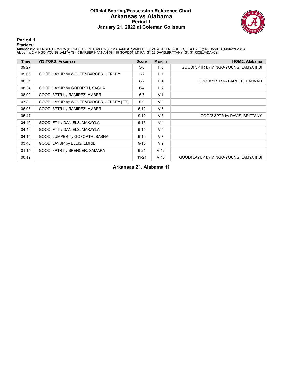### **Official Scoring/Possession Reference Chart Arkansas vs Alabama Period 1 January 21, 2022 at Coleman Coliseum**



**Period 1**

<mark>Starters:</mark><br>Arkansas: 2 SPENCER,SAMARA (G); 13 GOFORTH,SASHA (G); 23 RAMIREZ,AMBER (G); 24 WOLFENBARGER,JERSEY (G); 43 DANIELS,MAKAYLA (G);<br>**Alabama**: 2 MINGO-YOUNG,JAMYA (G); 5 BARBER,HANNAH (G); 15 GORDON,MYRA (G); 23 DA

| <b>Time</b> | <b>VISITORS: Arkansas</b>                | <b>Score</b> | <b>Margin</b>   | <b>HOME: Alabama</b>                   |
|-------------|------------------------------------------|--------------|-----------------|----------------------------------------|
| 09:27       |                                          | $3-0$        | $H_3$           | GOOD! 3PTR by MINGO-YOUNG, JAMYA [FB]  |
| 09:06       | GOOD! LAYUP by WOLFENBARGER, JERSEY      | $3 - 2$      | H <sub>1</sub>  |                                        |
| 08:51       |                                          | $6-2$        | H 4             | GOOD! 3PTR by BARBER, HANNAH           |
| 08:34       | GOOD! LAYUP by GOFORTH, SASHA            | $6 - 4$      | H <sub>2</sub>  |                                        |
| 08:00       | GOOD! 3PTR by RAMIREZ, AMBER             | $6 - 7$      | V <sub>1</sub>  |                                        |
| 07:31       | GOOD! LAYUP by WOLFENBARGER, JERSEY [FB] | $6-9$        | $V_3$           |                                        |
| 06:05       | GOOD! 3PTR by RAMIREZ, AMBER             | $6 - 12$     | $V_6$           |                                        |
| 05:47       |                                          | $9 - 12$     | $V_3$           | GOOD! 3PTR by DAVIS, BRITTANY          |
| 04:49       | GOOD! FT by DANIELS, MAKAYLA             | $9 - 13$     | V <sub>4</sub>  |                                        |
| 04:49       | GOOD! FT by DANIELS, MAKAYLA             | $9 - 14$     | V <sub>5</sub>  |                                        |
| 04:15       | GOOD! JUMPER by GOFORTH, SASHA           | $9 - 16$     | V <sub>7</sub>  |                                        |
| 03:40       | GOOD! LAYUP by ELLIS, EMRIE              | $9 - 18$     | V <sub>9</sub>  |                                        |
| 01:14       | GOOD! 3PTR by SPENCER, SAMARA            | $9 - 21$     | V <sub>12</sub> |                                        |
| 00:19       |                                          | $11 - 21$    | $V$ 10          | GOOD! LAYUP by MINGO-YOUNG, JAMYA [FB] |

**Arkansas 21, Alabama 11**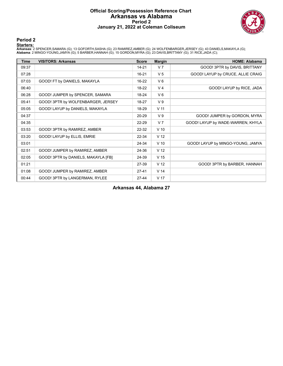### **Official Scoring/Possession Reference Chart Arkansas vs Alabama Period 2 January 21, 2022 at Coleman Coliseum**



#### **Period 2**

<mark>Starters:</mark><br>Arkansas: 2 SPENCER,SAMARA (G); 13 GOFORTH,SASHA (G); 23 RAMIREZ,AMBER (G); 24 WOLFENBARGER,JERSEY (G); 43 DANIELS,MAKAYLA (G);<br>**Alabama**: 2 MINGO-YOUNG,JAMYA (G); 5 BARBER,HANNAH (G); 15 GORDON,MYRA (G); 23 DA

| <b>Time</b> | <b>VISITORS: Arkansas</b>           | <b>Score</b> | <b>Margin</b>   | <b>HOME: Alabama</b>              |
|-------------|-------------------------------------|--------------|-----------------|-----------------------------------|
| 09:37       |                                     | $14 - 21$    | V <sub>7</sub>  | GOOD! 3PTR by DAVIS, BRITTANY     |
| 07:28       |                                     | $16 - 21$    | V <sub>5</sub>  | GOOD! LAYUP by CRUCE, ALLIE CRAIG |
| 07:03       | GOOD! FT by DANIELS, MAKAYLA        | $16-22$      | $V_6$           |                                   |
| 06:40       |                                     | 18-22        | V <sub>4</sub>  | GOOD! LAYUP by RICE, JADA         |
| 06:28       | GOOD! JUMPER by SPENCER, SAMARA     | 18-24        | $V_6$           |                                   |
| 05:41       | GOOD! 3PTR by WOLFENBARGER, JERSEY  | 18-27        | V <sub>9</sub>  |                                   |
| 05:05       | GOOD! LAYUP by DANIELS, MAKAYLA     | 18-29        | V <sub>11</sub> |                                   |
| 04:37       |                                     | 20-29        | V <sub>9</sub>  | GOOD! JUMPER by GORDON, MYRA      |
| 04:35       |                                     | 22-29        | V <sub>7</sub>  | GOOD! LAYUP by WADE-WARREN, KHYLA |
| 03:53       | GOOD! 3PTR by RAMIREZ, AMBER        | 22-32        | $V$ 10          |                                   |
| 03:20       | GOOD! LAYUP by ELLIS, EMRIE         | 22-34        | V <sub>12</sub> |                                   |
| 03:01       |                                     | 24-34        | $V$ 10          | GOOD! LAYUP by MINGO-YOUNG, JAMYA |
| 02:51       | GOOD! JUMPER by RAMIREZ, AMBER      | 24-36        | V <sub>12</sub> |                                   |
| 02:05       | GOOD! 3PTR by DANIELS, MAKAYLA [FB] | 24-39        | V <sub>15</sub> |                                   |
| 01:21       |                                     | 27-39        | V <sub>12</sub> | GOOD! 3PTR by BARBER, HANNAH      |
| 01:08       | GOOD! JUMPER by RAMIREZ, AMBER      | $27-41$      | V <sub>14</sub> |                                   |
| 00:44       | GOOD! 3PTR by LANGERMAN, RYLEE      | $27 - 44$    | V <sub>17</sub> |                                   |

**Arkansas 44, Alabama 27**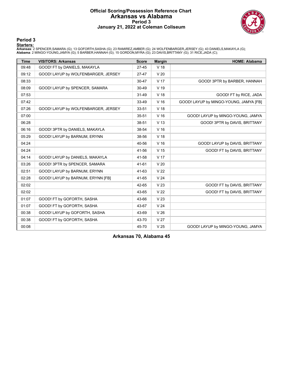### **Official Scoring/Possession Reference Chart Arkansas vs Alabama Period 3 January 21, 2022 at Coleman Coliseum**



#### **Period 3**

<mark>Starters:</mark><br>Arkansas: 2 SPENCER,SAMARA (G); 13 GOFORTH,SASHA (G); 23 RAMIREZ,AMBER (G); 24 WOLFENBARGER,JERSEY (G); 43 DANIELS,MAKAYLA (G);<br>**Alabama**: 2 MINGO-YOUNG,JAMYA (G); 5 BARBER,HANNAH (G); 15 GORDON,MYRA (G); 23 DA

| <b>Time</b> | <b>VISITORS: Arkansas</b>           | <b>Score</b> | <b>Margin</b>   | <b>HOME: Alabama</b>                   |
|-------------|-------------------------------------|--------------|-----------------|----------------------------------------|
| 09:48       | GOOD! FT by DANIELS, MAKAYLA        | $27 - 45$    | V 18            |                                        |
| 09:12       | GOOD! LAYUP by WOLFENBARGER, JERSEY | 27-47        | V <sub>20</sub> |                                        |
| 08:33       |                                     | $30 - 47$    | V 17            | GOOD! 3PTR by BARBER, HANNAH           |
| 08:09       | GOOD! LAYUP by SPENCER, SAMARA      | 30-49        | V 19            |                                        |
| 07:53       |                                     | 31-49        | V 18            | GOOD! FT by RICE, JADA                 |
| 07:42       |                                     | 33-49        | V <sub>16</sub> | GOOD! LAYUP by MINGO-YOUNG, JAMYA [FB] |
| 07:26       | GOOD! LAYUP by WOLFENBARGER, JERSEY | 33-51        | V 18            |                                        |
| 07:00       |                                     | 35-51        | V <sub>16</sub> | GOOD! LAYUP by MINGO-YOUNG, JAMYA      |
| 06:28       |                                     | 38-51        | V <sub>13</sub> | GOOD! 3PTR by DAVIS, BRITTANY          |
| 06:16       | GOOD! 3PTR by DANIELS, MAKAYLA      | 38-54        | V <sub>16</sub> |                                        |
| 05:29       | GOOD! LAYUP by BARNUM, ERYNN        | 38-56        | V <sub>18</sub> |                                        |
| 04:24       |                                     | 40-56        | V <sub>16</sub> | GOOD! LAYUP by DAVIS, BRITTANY         |
| 04:24       |                                     | 41-56        | V <sub>15</sub> | GOOD! FT by DAVIS, BRITTANY            |
| 04:14       | GOOD! LAYUP by DANIELS, MAKAYLA     | 41-58        | V 17            |                                        |
| 03:26       | GOOD! 3PTR by SPENCER, SAMARA       | 41-61        | V <sub>20</sub> |                                        |
| 02:51       | GOOD! LAYUP by BARNUM, ERYNN        | 41-63        | V <sub>22</sub> |                                        |
| 02:28       | GOOD! LAYUP by BARNUM, ERYNN [FB]   | 41-65        | V <sub>24</sub> |                                        |
| 02:02       |                                     | 42-65        | V <sub>23</sub> | GOOD! FT by DAVIS, BRITTANY            |
| 02:02       |                                     | 43-65        | V <sub>22</sub> | GOOD! FT by DAVIS, BRITTANY            |
| 01:07       | GOOD! FT by GOFORTH, SASHA          | 43-66        | V <sub>23</sub> |                                        |
| 01:07       | GOOD! FT by GOFORTH, SASHA          | 43-67        | V <sub>24</sub> |                                        |
| 00:38       | GOOD! LAYUP by GOFORTH, SASHA       | 43-69        | V <sub>26</sub> |                                        |
| 00:38       | GOOD! FT by GOFORTH, SASHA          | 43-70        | V <sub>27</sub> |                                        |
| 00:08       |                                     | 45-70        | V <sub>25</sub> | GOOD! LAYUP by MINGO-YOUNG, JAMYA      |

**Arkansas 70, Alabama 45**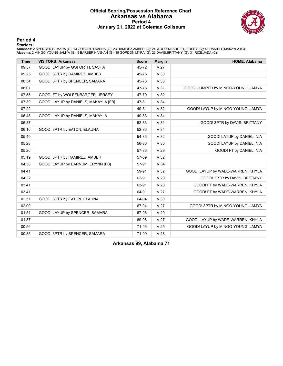### **Official Scoring/Possession Reference Chart Arkansas vs Alabama Period 4 January 21, 2022 at Coleman Coliseum**



**Period 4**

<mark>Starters:</mark><br>Arkansas: 2 SPENCER,SAMARA (G); 13 GOFORTH,SASHA (G); 23 RAMIREZ,AMBER (G); 24 WOLFENBARGER,JERSEY (G); 43 DANIELS,MAKAYLA (G);<br>**Alabama**: 2 MINGO-YOUNG,JAMYA (G); 5 BARBER,HANNAH (G); 15 GORDON,MYRA (G); 23 DA

| <b>Time</b> | <b>VISITORS: Arkansas</b>            | <b>Score</b> | <b>Margin</b>   | <b>HOME: Alabama</b>               |
|-------------|--------------------------------------|--------------|-----------------|------------------------------------|
| 09:57       | GOOD! LAYUP by GOFORTH, SASHA        | 45-72        | V <sub>27</sub> |                                    |
| 09:25       | GOOD! 3PTR by RAMIREZ, AMBER         | 45-75        | V <sub>30</sub> |                                    |
| 08:54       | GOOD! 3PTR by SPENCER, SAMARA        | 45-78        | V <sub>33</sub> |                                    |
| 08:07       |                                      | 47-78        | V <sub>31</sub> | GOOD! JUMPER by MINGO-YOUNG, JAMYA |
| 07:55       | GOOD! FT by WOLFENBARGER, JERSEY     | 47-79        | V <sub>32</sub> |                                    |
| 07:39       | GOOD! LAYUP by DANIELS, MAKAYLA [FB] | 47-81        | V <sub>34</sub> |                                    |
| 07:22       |                                      | 49-81        | V <sub>32</sub> | GOOD! LAYUP by MINGO-YOUNG, JAMYA  |
| 06:48       | GOOD! LAYUP by DANIELS, MAKAYLA      | 49-83        | V <sub>34</sub> |                                    |
| 06:37       |                                      | 52-83        | V <sub>31</sub> | GOOD! 3PTR by DAVIS, BRITTANY      |
| 06:16       | GOOD! 3PTR by EATON, ELAUNA          | 52-86        | V <sub>34</sub> |                                    |
| 05:49       |                                      | 54-86        | V <sub>32</sub> | GOOD! LAYUP by DANIEL, NIA         |
| 05:28       |                                      | 56-86        | V <sub>30</sub> | GOOD! LAYUP by DANIEL, NIA         |
| 05:26       |                                      | 57-86        | V <sub>29</sub> | GOOD! FT by DANIEL, NIA            |
| 05:19       | GOOD! 3PTR by RAMIREZ, AMBER         | 57-89        | V <sub>32</sub> |                                    |
| 04:58       | GOOD! LAYUP by BARNUM, ERYNN [FB]    | 57-91        | V <sub>34</sub> |                                    |
| 04:41       |                                      | 59-91        | V <sub>32</sub> | GOOD! LAYUP by WADE-WARREN, KHYLA  |
| 04:32       |                                      | 62-91        | V <sub>29</sub> | GOOD! 3PTR by DAVIS, BRITTANY      |
| 03:41       |                                      | 63-91        | V <sub>28</sub> | GOOD! FT by WADE-WARREN, KHYLA     |
| 03:41       |                                      | 64-91        | V <sub>27</sub> | GOOD! FT by WADE-WARREN, KHYLA     |
| 02:51       | GOOD! 3PTR by EATON, ELAUNA          | 64-94        | V <sub>30</sub> |                                    |
| 02:09       |                                      | 67-94        | V <sub>27</sub> | GOOD! 3PTR by MINGO-YOUNG, JAMYA   |
| 01:51       | GOOD! LAYUP by SPENCER, SAMARA       | 67-96        | V <sub>29</sub> |                                    |
| 01:37       |                                      | 69-96        | V <sub>27</sub> | GOOD! LAYUP by WADE-WARREN, KHYLA  |
| 00:56       |                                      | 71-96        | V <sub>25</sub> | GOOD! LAYUP by MINGO-YOUNG, JAMYA  |
| 00:35       | GOOD! 3PTR by SPENCER, SAMARA        | 71-99        | V <sub>28</sub> |                                    |

**Arkansas 99, Alabama 71**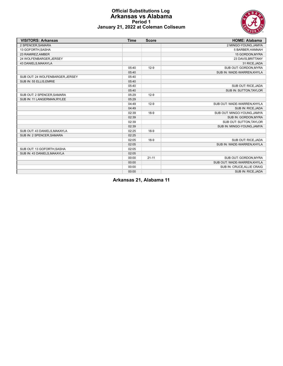

#### **Official Substitutions Log Arkansas vs Alabama Period 1 January 21, 2022 at Coleman Coliseum**

| <b>VISITORS: Arkansas</b>        | <b>Time</b> | <b>Score</b> | <b>HOME: Alabama</b>        |
|----------------------------------|-------------|--------------|-----------------------------|
| 2 SPENCER.SAMARA                 |             |              | 2 MINGO-YOUNG.JAMYA         |
| 13 GOFORTH, SASHA                |             |              | 5 BARBER, HANNAH            |
| 23 RAMIREZ, AMBER                |             |              | 15 GORDON, MYRA             |
| 24 WOLFENBARGER, JERSEY          |             |              | 23 DAVIS BRITTANY           |
| 43 DANIELS, MAKAYLA              |             |              | 31 RICE, JADA               |
|                                  | 05:40       | $12-9$       | SUB OUT: GORDON, MYRA       |
|                                  | 05:40       |              | SUB IN: WADE-WARREN, KHYLA  |
| SUB OUT: 24 WOLFENBARGER, JERSEY | 05:40       |              |                             |
| SUB IN: 55 ELLIS, EMRIE          | 05:40       |              |                             |
|                                  | 05:40       |              | SUB OUT: RICE, JADA         |
|                                  | 05:40       |              | SUB IN: SUTTON, TAYLOR      |
| SUB OUT: 2 SPENCER, SAMARA       | 05:29       | $12-9$       |                             |
| SUB IN: 11 LANGERMAN, RYLEE      | 05:29       |              |                             |
|                                  | 04:49       | $12-9$       | SUB OUT: WADE-WARREN.KHYLA  |
|                                  | 04:49       |              | SUB IN: RICE, JADA          |
|                                  | 02:39       | $18-9$       | SUB OUT: MINGO-YOUNG, JAMYA |
|                                  | 02:39       |              | SUB IN: GORDON, MYRA        |
|                                  | 02:39       |              | SUB OUT: SUTTON, TAYLOR     |
|                                  | 02:39       |              | SUB IN: MINGO-YOUNG, JAMYA  |
| SUB OUT: 43 DANIELS, MAKAYLA     | 02:25       | $18-9$       |                             |
| SUB IN: 2 SPENCER, SAMARA        | 02:25       |              |                             |
|                                  | 02:05       | $18-9$       | SUB OUT: RICE.JADA          |
|                                  | 02:05       |              | SUB IN: WADE-WARREN, KHYLA  |
| SUB OUT: 13 GOFORTH, SASHA       | 02:05       |              |                             |
| SUB IN: 43 DANIELS, MAKAYLA      | 02:05       |              |                             |
|                                  | 00:00       | $21 - 11$    | SUB OUT: GORDON, MYRA       |
|                                  | 00:00       |              | SUB OUT: WADE-WARREN, KHYLA |
|                                  | 00:00       |              | SUB IN: CRUCE, ALLIE CRAIG  |
|                                  | 00:00       |              | SUB IN: RICE, JADA          |

**Arkansas 21, Alabama 11**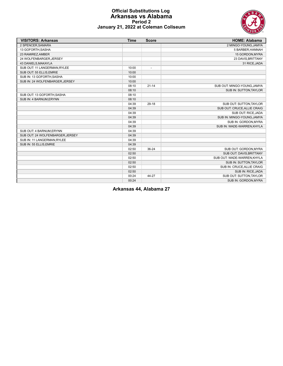

#### **Official Substitutions Log Arkansas vs Alabama Period 2 January 21, 2022 at Coleman Coliseum**

| <b>VISITORS: Arkansas</b>        | <b>Time</b> | <b>Score</b>             | <b>HOME: Alabama</b>        |
|----------------------------------|-------------|--------------------------|-----------------------------|
| 2 SPENCER, SAMARA                |             |                          | 2 MINGO-YOUNG, JAMYA        |
| 13 GOFORTH, SASHA                |             |                          | 5 BARBER, HANNAH            |
| 23 RAMIREZ, AMBER                |             |                          | 15 GORDON, MYRA             |
| 24 WOLFENBARGER.JERSEY           |             |                          | 23 DAVIS, BRITTANY          |
| 43 DANIELS, MAKAYLA              |             |                          | 31 RICE, JADA               |
| SUB OUT: 11 LANGERMAN, RYLEE     | 10:00       | $\overline{\phantom{a}}$ |                             |
| SUB OUT: 55 ELLIS, EMRIE         | 10:00       |                          |                             |
| SUB IN: 13 GOFORTH, SASHA        | 10:00       |                          |                             |
| SUB IN: 24 WOLFENBARGER, JERSEY  | 10:00       |                          |                             |
|                                  | 08:10       | $21 - 14$                | SUB OUT: MINGO-YOUNG, JAMYA |
|                                  | 08:10       |                          | SUB IN: SUTTON, TAYLOR      |
| SUB OUT: 13 GOFORTH, SASHA       | 08:10       |                          |                             |
| SUB IN: 4 BARNUM.ERYNN           | 08:10       |                          |                             |
|                                  | 04:39       | $29-18$                  | SUB OUT: SUTTON, TAYLOR     |
|                                  | 04:39       |                          | SUB OUT: CRUCE, ALLIE CRAIG |
|                                  | 04:39       |                          | SUB OUT: RICE, JADA         |
|                                  | 04:39       |                          | SUB IN: MINGO-YOUNG, JAMYA  |
|                                  | 04:39       |                          | SUB IN: GORDON, MYRA        |
|                                  | 04:39       |                          | SUB IN: WADE-WARREN, KHYLA  |
| SUB OUT: 4 BARNUM, ERYNN         | 04:39       |                          |                             |
| SUB OUT: 24 WOLFENBARGER, JERSEY | 04:39       |                          |                             |
| SUB IN: 11 LANGERMAN.RYLEE       | 04:39       |                          |                             |
| SUB IN: 55 ELLIS, EMRIE          | 04:39       |                          |                             |
|                                  | 02:50       | 36-24                    | SUB OUT: GORDON.MYRA        |
|                                  | 02:50       |                          | SUB OUT: DAVIS, BRITTANY    |
|                                  | 02:50       |                          | SUB OUT: WADE-WARREN, KHYLA |
|                                  | 02:50       |                          | SUB IN: SUTTON, TAYLOR      |
|                                  | 02:50       |                          | SUB IN: CRUCE, ALLIE CRAIG  |
|                                  | 02:50       |                          | SUB IN: RICE, JADA          |
|                                  | 00:24       | 44-27                    | SUB OUT: SUTTON, TAYLOR     |
|                                  | 00:24       |                          | SUB IN: GORDON, MYRA        |

**Arkansas 44, Alabama 27**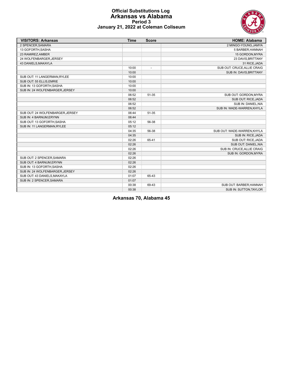

#### **Official Substitutions Log Arkansas vs Alabama Period 3 January 21, 2022 at Coleman Coliseum**

| <b>VISITORS: Arkansas</b>        | <b>Time</b> | <b>Score</b>             | <b>HOME: Alabama</b>        |
|----------------------------------|-------------|--------------------------|-----------------------------|
| 2 SPENCER, SAMARA                |             |                          | 2 MINGO-YOUNG.JAMYA         |
| 13 GOFORTH, SASHA                |             |                          | 5 BARBER, HANNAH            |
| 23 RAMIREZ, AMBER                |             |                          | 15 GORDON, MYRA             |
| 24 WOLFENBARGER, JERSEY          |             |                          | 23 DAVIS, BRITTANY          |
| 43 DANIELS, MAKAYLA              |             |                          | 31 RICE, JADA               |
|                                  | 10:00       | $\overline{\phantom{a}}$ | SUB OUT: CRUCE, ALLIE CRAIG |
|                                  | 10:00       |                          | SUB IN: DAVIS, BRITTANY     |
| SUB OUT: 11 LANGERMAN, RYLEE     | 10:00       |                          |                             |
| SUB OUT: 55 ELLIS, EMRIE         | 10:00       |                          |                             |
| SUB IN: 13 GOFORTH, SASHA        | 10:00       |                          |                             |
| SUB IN: 24 WOLFENBARGER, JERSEY  | 10:00       |                          |                             |
|                                  | 06:52       | 51-35                    | SUB OUT: GORDON, MYRA       |
|                                  | 06:52       |                          | SUB OUT: RICE, JADA         |
|                                  | 06:52       |                          | SUB IN: DANIEL, NIA         |
|                                  | 06:52       |                          | SUB IN: WADE-WARREN, KHYLA  |
| SUB OUT: 24 WOLFENBARGER, JERSEY | 06:44       | 51-35                    |                             |
| SUB IN: 4 BARNUM, ERYNN          | 06:44       |                          |                             |
| SUB OUT: 13 GOFORTH.SASHA        | 05:12       | 56-38                    |                             |
| SUB IN: 11 LANGERMAN, RYLEE      | 05:12       |                          |                             |
|                                  | 04:35       | 56-38                    | SUB OUT: WADE-WARREN.KHYLA  |
|                                  | 04:35       |                          | SUB IN: RICE, JADA          |
|                                  | 02:26       | 65-41                    | SUB OUT: RICE.JADA          |
|                                  | 02:26       |                          | SUB OUT: DANIEL, NIA        |
|                                  | 02:26       |                          | SUB IN: CRUCE, ALLIE CRAIG  |
|                                  | 02:26       |                          | SUB IN: GORDON, MYRA        |
| SUB OUT: 2 SPENCER, SAMARA       | 02:26       |                          |                             |
| SUB OUT: 4 BARNUM, ERYNN         | 02:26       |                          |                             |
| SUB IN: 13 GOFORTH, SASHA        | 02:26       |                          |                             |
| SUB IN: 24 WOLFENBARGER, JERSEY  | 02:26       |                          |                             |
| SUB OUT: 43 DANIELS, MAKAYLA     | 01:07       | 65-43                    |                             |
| SUB IN: 2 SPENCER, SAMARA        | 01:07       |                          |                             |
|                                  | 00:38       | 69-43                    | SUB OUT: BARBER, HANNAH     |
|                                  | 00:38       |                          | SUB IN: SUTTON, TAYLOR      |

**Arkansas 70, Alabama 45**